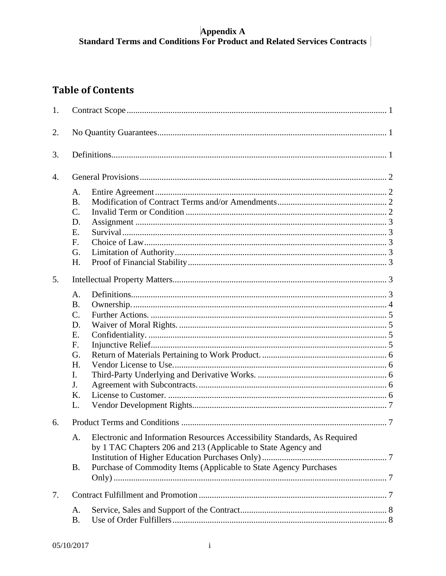# $\begin{array}{c} \textbf{Appendix A} \\ \textbf{Standard Terms and Conditions For Product and Related Services contracts} \end{array}$

### **Table of Contents**

| 1.               |                                                                                      |                                                                                                                                                                                                                 |  |  |
|------------------|--------------------------------------------------------------------------------------|-----------------------------------------------------------------------------------------------------------------------------------------------------------------------------------------------------------------|--|--|
| 2.               |                                                                                      |                                                                                                                                                                                                                 |  |  |
| 3.               |                                                                                      |                                                                                                                                                                                                                 |  |  |
| $\overline{4}$ . |                                                                                      |                                                                                                                                                                                                                 |  |  |
|                  | A.<br><b>B.</b><br>$\mathcal{C}$ .<br>D.<br>E.<br>F.<br>G.<br>H.                     |                                                                                                                                                                                                                 |  |  |
| 5.               |                                                                                      |                                                                                                                                                                                                                 |  |  |
|                  | A.<br><b>B.</b><br>$C_{\cdot}$<br>D.<br>E.<br>F.<br>G.<br>H.<br>$\mathbf{I}$ .<br>J. |                                                                                                                                                                                                                 |  |  |
|                  | K.<br>L.                                                                             |                                                                                                                                                                                                                 |  |  |
| 6.               |                                                                                      |                                                                                                                                                                                                                 |  |  |
|                  | A.<br><b>B.</b>                                                                      | Electronic and Information Resources Accessibility Standards, As Required<br>by 1 TAC Chapters 206 and 213 (Applicable to State Agency and<br>Purchase of Commodity Items (Applicable to State Agency Purchases |  |  |
|                  |                                                                                      |                                                                                                                                                                                                                 |  |  |
| 7.               |                                                                                      |                                                                                                                                                                                                                 |  |  |
|                  | A.<br><b>B.</b>                                                                      |                                                                                                                                                                                                                 |  |  |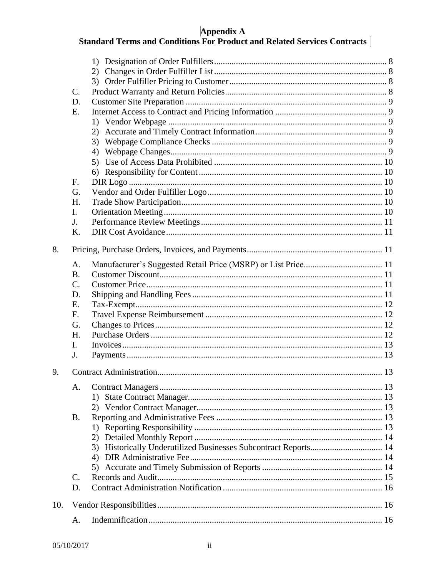# $\begin{array}{c} \textbf{Appendix A} \\ \textbf{Standard Terms and Conditions For Product and Related Services contracts} \end{array}$

|     | $\mathcal{C}$ . |                                                                 |  |  |
|-----|-----------------|-----------------------------------------------------------------|--|--|
|     | D.              |                                                                 |  |  |
|     | E.              |                                                                 |  |  |
|     |                 |                                                                 |  |  |
|     |                 |                                                                 |  |  |
|     |                 |                                                                 |  |  |
|     |                 |                                                                 |  |  |
|     |                 |                                                                 |  |  |
|     |                 |                                                                 |  |  |
|     | F.              |                                                                 |  |  |
|     | G.              |                                                                 |  |  |
|     | H.              |                                                                 |  |  |
|     | I.              |                                                                 |  |  |
|     | J <sub>r</sub>  |                                                                 |  |  |
|     | K.              |                                                                 |  |  |
|     |                 |                                                                 |  |  |
| 8.  |                 |                                                                 |  |  |
|     | A.              |                                                                 |  |  |
|     | <b>B.</b>       |                                                                 |  |  |
|     | $\mathcal{C}$ . |                                                                 |  |  |
|     | D.              |                                                                 |  |  |
|     | Ε.              |                                                                 |  |  |
|     | F.              |                                                                 |  |  |
|     | G.              |                                                                 |  |  |
|     | H.              |                                                                 |  |  |
|     | L               |                                                                 |  |  |
|     | J.              |                                                                 |  |  |
| 9.  |                 |                                                                 |  |  |
|     | A.              |                                                                 |  |  |
|     |                 |                                                                 |  |  |
|     |                 |                                                                 |  |  |
|     | <b>B.</b>       |                                                                 |  |  |
|     |                 |                                                                 |  |  |
|     |                 |                                                                 |  |  |
|     |                 | 3) Historically Underutilized Businesses Subcontract Reports 14 |  |  |
|     |                 |                                                                 |  |  |
|     |                 |                                                                 |  |  |
|     | $\mathcal{C}$ . |                                                                 |  |  |
|     |                 |                                                                 |  |  |
|     | D.              |                                                                 |  |  |
| 10. |                 |                                                                 |  |  |
|     | A.              |                                                                 |  |  |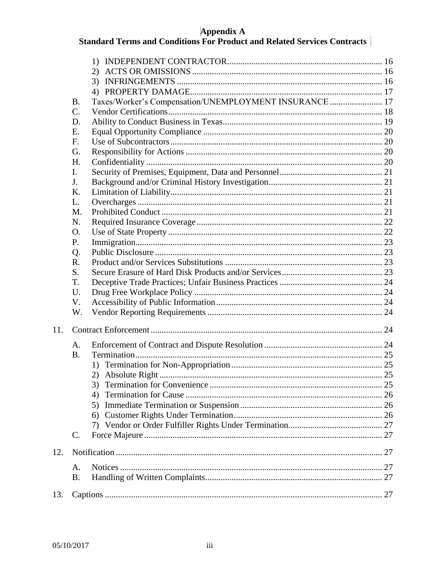# $\begin{array}{c} \textbf{Appendix A} \\ \textbf{Standard Terms and Conditions For Product and Related Services contracts} \end{array}$

|     |             | 1)                                                     |  |  |
|-----|-------------|--------------------------------------------------------|--|--|
|     |             | 2)                                                     |  |  |
|     |             |                                                        |  |  |
|     |             |                                                        |  |  |
|     | <b>B.</b>   | Taxes/Worker's Compensation/UNEMPLOYMENT INSURANCE  17 |  |  |
|     | $C_{\cdot}$ |                                                        |  |  |
|     | D.          |                                                        |  |  |
|     | Ε.          |                                                        |  |  |
|     | F.          |                                                        |  |  |
|     | G.          |                                                        |  |  |
|     | H.          |                                                        |  |  |
|     | I.          |                                                        |  |  |
|     | J.          |                                                        |  |  |
|     | K.          |                                                        |  |  |
|     | L.          |                                                        |  |  |
|     | M.          |                                                        |  |  |
|     | N.          |                                                        |  |  |
|     | O.          |                                                        |  |  |
|     | P.          |                                                        |  |  |
|     | Q.          |                                                        |  |  |
|     | R.          |                                                        |  |  |
|     | S.          |                                                        |  |  |
|     | T.          |                                                        |  |  |
|     | U.          |                                                        |  |  |
|     |             |                                                        |  |  |
|     | V.          |                                                        |  |  |
|     | W.          |                                                        |  |  |
| 11. |             |                                                        |  |  |
|     | A.          |                                                        |  |  |
|     | <b>B.</b>   |                                                        |  |  |
|     |             |                                                        |  |  |
|     |             |                                                        |  |  |
|     |             | 3)                                                     |  |  |
|     |             | 4)                                                     |  |  |
|     |             |                                                        |  |  |
|     |             |                                                        |  |  |
|     |             |                                                        |  |  |
|     | $C_{\cdot}$ |                                                        |  |  |
|     |             |                                                        |  |  |
| 12. |             |                                                        |  |  |
|     | A.          |                                                        |  |  |
|     | <b>B.</b>   |                                                        |  |  |
|     |             |                                                        |  |  |
| 13. |             |                                                        |  |  |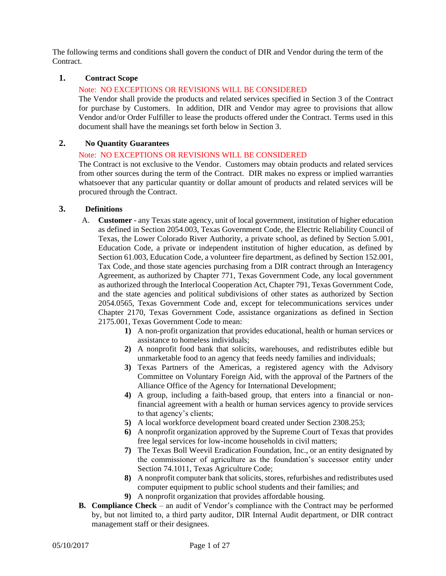The following terms and conditions shall govern the conduct of DIR and Vendor during the term of the Contract.

#### <span id="page-3-0"></span>**1. Contract Scope**

#### Note: NO EXCEPTIONS OR REVISIONS WILL BE CONSIDERED

The Vendor shall provide the products and related services specified in Section 3 of the Contract for purchase by Customers. In addition, DIR and Vendor may agree to provisions that allow Vendor and/or Order Fulfiller to lease the products offered under the Contract. Terms used in this document shall have the meanings set forth below in Section 3.

#### <span id="page-3-1"></span>**2. No Quantity Guarantees**

#### Note: NO EXCEPTIONS OR REVISIONS WILL BE CONSIDERED

The Contract is not exclusive to the Vendor. Customers may obtain products and related services from other sources during the term of the Contract. DIR makes no express or implied warranties whatsoever that any particular quantity or dollar amount of products and related services will be procured through the Contract.

#### <span id="page-3-2"></span>**3. Definitions**

- A. **Customer** any Texas state agency, unit of local government, institution of higher education as defined in Section 2054.003, Texas Government Code, the Electric Reliability Council of Texas, the Lower Colorado River Authority, a private school, as defined by Section 5.001, Education Code, a private or independent institution of higher education, as defined by Section 61.003, Education Code, a volunteer fire department, as defined by Section 152.001, Tax Code, and those state agencies purchasing from a DIR contract through an Interagency Agreement, as authorized by Chapter 771, Texas Government Code, any local government as authorized through the Interlocal Cooperation Act, Chapter 791, Texas Government Code, and the state agencies and political subdivisions of other states as authorized by Section 2054.0565, Texas Government Code and, except for telecommunications services under Chapter 2170, Texas Government Code, assistance organizations as defined in Section 2175.001, Texas Government Code to mean:
	- **1)** A non-profit organization that provides educational, health or human services or assistance to homeless individuals;
	- **2)** A nonprofit food bank that solicits, warehouses, and redistributes edible but unmarketable food to an agency that feeds needy families and individuals;
	- **3)** Texas Partners of the Americas, a registered agency with the Advisory Committee on Voluntary Foreign Aid, with the approval of the Partners of the Alliance Office of the Agency for International Development;
	- **4)** A group, including a faith-based group, that enters into a financial or nonfinancial agreement with a health or human services agency to provide services to that agency's clients;
	- **5)** A local workforce development board created under Section 2308.253;
	- **6)** A nonprofit organization approved by the Supreme Court of Texas that provides free legal services for low-income households in civil matters;
	- **7)** The Texas Boll Weevil Eradication Foundation, Inc., or an entity designated by the commissioner of agriculture as the foundation's successor entity under Section 74.1011, Texas Agriculture Code;
	- **8)** A nonprofit computer bank that solicits, stores, refurbishes and redistributes used computer equipment to public school students and their families; and
	- **9)** A nonprofit organization that provides affordable housing.
- **B. Compliance Check** an audit of Vendor's compliance with the Contract may be performed by, but not limited to, a third party auditor, DIR Internal Audit department, or DIR contract management staff or their designees.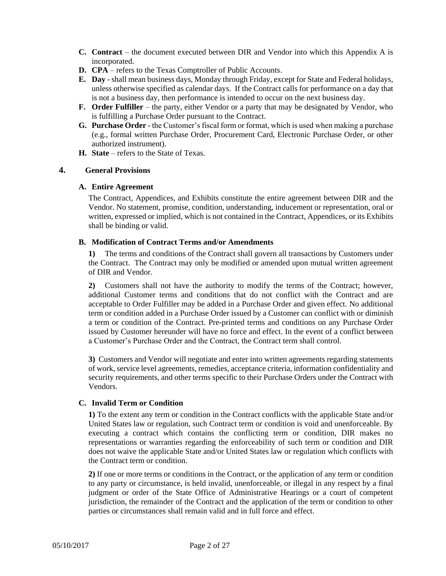- **C. Contract** the document executed between DIR and Vendor into which this Appendix A is incorporated.
- **D. CPA**  refers to the Texas Comptroller of Public Accounts.
- **E. Day** shall mean business days, Monday through Friday, except for State and Federal holidays, unless otherwise specified as calendar days. If the Contract calls for performance on a day that is not a business day, then performance is intended to occur on the next business day.
- **F. Order Fulfiller** the party, either Vendor or a party that may be designated by Vendor, who is fulfilling a Purchase Order pursuant to the Contract.
- **G. Purchase Order** the Customer's fiscal form or format, which is used when making a purchase (e.g., formal written Purchase Order, Procurement Card, Electronic Purchase Order, or other authorized instrument).
- **H. State** refers to the State of Texas.

#### <span id="page-4-1"></span><span id="page-4-0"></span>**4. General Provisions**

#### **A. Entire Agreement**

The Contract, Appendices, and Exhibits constitute the entire agreement between DIR and the Vendor. No statement, promise, condition, understanding, inducement or representation, oral or written, expressed or implied, which is not contained in the Contract, Appendices, or its Exhibits shall be binding or valid.

#### <span id="page-4-2"></span>**B. Modification of Contract Terms and/or Amendments**

**1)** The terms and conditions of the Contract shall govern all transactions by Customers under the Contract. The Contract may only be modified or amended upon mutual written agreement of DIR and Vendor.

**2)** Customers shall not have the authority to modify the terms of the Contract; however, additional Customer terms and conditions that do not conflict with the Contract and are acceptable to Order Fulfiller may be added in a Purchase Order and given effect. No additional term or condition added in a Purchase Order issued by a Customer can conflict with or diminish a term or condition of the Contract. Pre-printed terms and conditions on any Purchase Order issued by Customer hereunder will have no force and effect. In the event of a conflict between a Customer's Purchase Order and the Contract, the Contract term shall control.

**3)** Customers and Vendor will negotiate and enter into written agreements regarding statements of work, service level agreements, remedies, acceptance criteria, information confidentiality and security requirements, and other terms specific to their Purchase Orders under the Contract with Vendors.

#### <span id="page-4-3"></span>**C. Invalid Term or Condition**

**1)** To the extent any term or condition in the Contract conflicts with the applicable State and/or United States law or regulation, such Contract term or condition is void and unenforceable. By executing a contract which contains the conflicting term or condition, DIR makes no representations or warranties regarding the enforceability of such term or condition and DIR does not waive the applicable State and/or United States law or regulation which conflicts with the Contract term or condition.

**2)** If one or more terms or conditions in the Contract, or the application of any term or condition to any party or circumstance, is held invalid, unenforceable, or illegal in any respect by a final judgment or order of the State Office of Administrative Hearings or a court of competent jurisdiction, the remainder of the Contract and the application of the term or condition to other parties or circumstances shall remain valid and in full force and effect.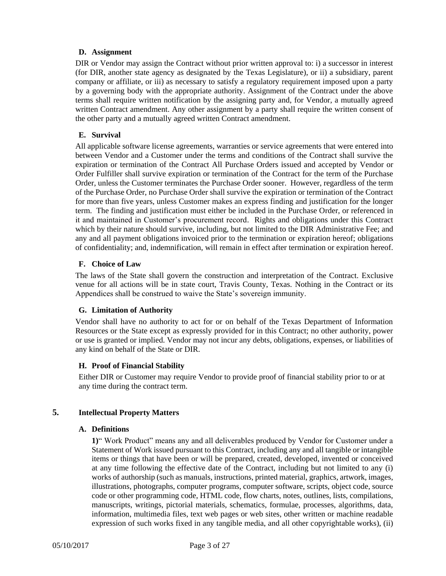#### <span id="page-5-0"></span>**D. Assignment**

DIR or Vendor may assign the Contract without prior written approval to: i) a successor in interest (for DIR, another state agency as designated by the Texas Legislature), or ii) a subsidiary, parent company or affiliate, or iii) as necessary to satisfy a regulatory requirement imposed upon a party by a governing body with the appropriate authority. Assignment of the Contract under the above terms shall require written notification by the assigning party and, for Vendor, a mutually agreed written Contract amendment. Any other assignment by a party shall require the written consent of the other party and a mutually agreed written Contract amendment.

#### <span id="page-5-1"></span>**E. Survival**

All applicable software license agreements, warranties or service agreements that were entered into between Vendor and a Customer under the terms and conditions of the Contract shall survive the expiration or termination of the Contract All Purchase Orders issued and accepted by Vendor or Order Fulfiller shall survive expiration or termination of the Contract for the term of the Purchase Order, unless the Customer terminates the Purchase Order sooner. However, regardless of the term of the Purchase Order, no Purchase Order shall survive the expiration or termination of the Contract for more than five years, unless Customer makes an express finding and justification for the longer term. The finding and justification must either be included in the Purchase Order, or referenced in it and maintained in Customer's procurement record. Rights and obligations under this Contract which by their nature should survive, including, but not limited to the DIR Administrative Fee; and any and all payment obligations invoiced prior to the termination or expiration hereof; obligations of confidentiality; and, indemnification, will remain in effect after termination or expiration hereof.

#### <span id="page-5-2"></span>**F. Choice of Law**

The laws of the State shall govern the construction and interpretation of the Contract. Exclusive venue for all actions will be in state court, Travis County, Texas. Nothing in the Contract or its Appendices shall be construed to waive the State's sovereign immunity.

#### <span id="page-5-3"></span>**G. Limitation of Authority**

Vendor shall have no authority to act for or on behalf of the Texas Department of Information Resources or the State except as expressly provided for in this Contract; no other authority, power or use is granted or implied. Vendor may not incur any debts, obligations, expenses, or liabilities of any kind on behalf of the State or DIR.

#### <span id="page-5-4"></span>**H. Proof of Financial Stability**

Either DIR or Customer may require Vendor to provide proof of financial stability prior to or at any time during the contract term.

#### <span id="page-5-6"></span><span id="page-5-5"></span>**5. Intellectual Property Matters**

#### **A. Definitions**

**1)**" Work Product" means any and all deliverables produced by Vendor for Customer under a Statement of Work issued pursuant to this Contract, including any and all tangible or intangible items or things that have been or will be prepared, created, developed, invented or conceived at any time following the effective date of the Contract, including but not limited to any (i) works of authorship (such as manuals, instructions, printed material, graphics, artwork, images, illustrations, photographs, computer programs, computer software, scripts, object code, source code or other programming code, HTML code, flow charts, notes, outlines, lists, compilations, manuscripts, writings, pictorial materials, schematics, formulae, processes, algorithms, data, information, multimedia files, text web pages or web sites, other written or machine readable expression of such works fixed in any tangible media, and all other copyrightable works), (ii)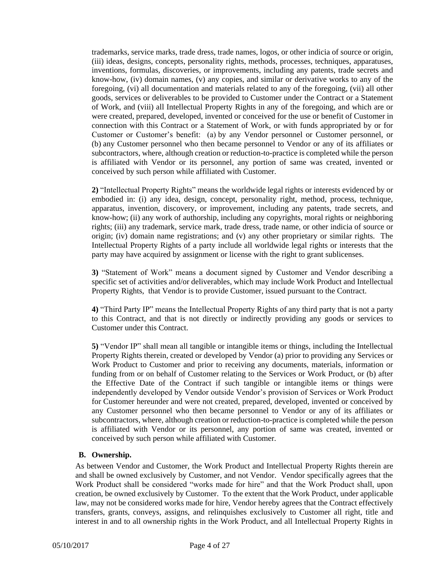trademarks, service marks, trade dress, trade names, logos, or other indicia of source or origin, (iii) ideas, designs, concepts, personality rights, methods, processes, techniques, apparatuses, inventions, formulas, discoveries, or improvements, including any patents, trade secrets and know-how, (iv) domain names, (v) any copies, and similar or derivative works to any of the foregoing, (vi) all documentation and materials related to any of the foregoing, (vii) all other goods, services or deliverables to be provided to Customer under the Contract or a Statement of Work, and (viii) all Intellectual Property Rights in any of the foregoing, and which are or were created, prepared, developed, invented or conceived for the use or benefit of Customer in connection with this Contract or a Statement of Work, or with funds appropriated by or for Customer or Customer's benefit: (a) by any Vendor personnel or Customer personnel, or (b) any Customer personnel who then became personnel to Vendor or any of its affiliates or subcontractors, where, although creation or reduction-to-practice is completed while the person is affiliated with Vendor or its personnel, any portion of same was created, invented or conceived by such person while affiliated with Customer.

**2)** "Intellectual Property Rights" means the worldwide legal rights or interests evidenced by or embodied in: (i) any idea, design, concept, personality right, method, process, technique, apparatus, invention, discovery, or improvement, including any patents, trade secrets, and know-how; (ii) any work of authorship, including any copyrights, moral rights or neighboring rights; (iii) any trademark, service mark, trade dress, trade name, or other indicia of source or origin; (iv) domain name registrations; and (v) any other proprietary or similar rights. The Intellectual Property Rights of a party include all worldwide legal rights or interests that the party may have acquired by assignment or license with the right to grant sublicenses.

**3)** "Statement of Work" means a document signed by Customer and Vendor describing a specific set of activities and/or deliverables, which may include Work Product and Intellectual Property Rights, that Vendor is to provide Customer, issued pursuant to the Contract.

**4)** "Third Party IP" means the Intellectual Property Rights of any third party that is not a party to this Contract, and that is not directly or indirectly providing any goods or services to Customer under this Contract.

**5)** "Vendor IP" shall mean all tangible or intangible items or things, including the Intellectual Property Rights therein, created or developed by Vendor (a) prior to providing any Services or Work Product to Customer and prior to receiving any documents, materials, information or funding from or on behalf of Customer relating to the Services or Work Product, or (b) after the Effective Date of the Contract if such tangible or intangible items or things were independently developed by Vendor outside Vendor's provision of Services or Work Product for Customer hereunder and were not created, prepared, developed, invented or conceived by any Customer personnel who then became personnel to Vendor or any of its affiliates or subcontractors, where, although creation or reduction-to-practice is completed while the person is affiliated with Vendor or its personnel, any portion of same was created, invented or conceived by such person while affiliated with Customer.

#### <span id="page-6-0"></span>**B. Ownership.**

As between Vendor and Customer, the Work Product and Intellectual Property Rights therein are and shall be owned exclusively by Customer, and not Vendor. Vendor specifically agrees that the Work Product shall be considered "works made for hire" and that the Work Product shall, upon creation, be owned exclusively by Customer. To the extent that the Work Product, under applicable law, may not be considered works made for hire, Vendor hereby agrees that the Contract effectively transfers, grants, conveys, assigns, and relinquishes exclusively to Customer all right, title and interest in and to all ownership rights in the Work Product, and all Intellectual Property Rights in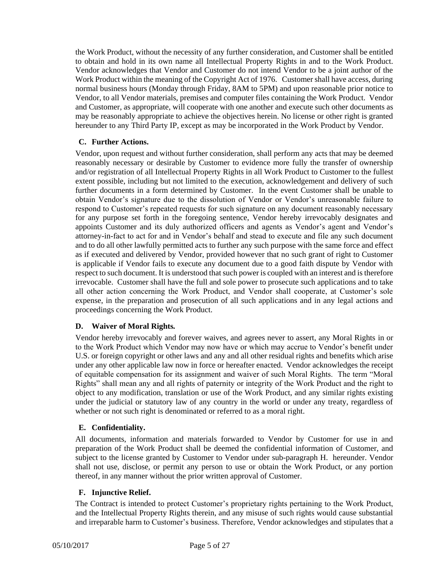the Work Product, without the necessity of any further consideration, and Customer shall be entitled to obtain and hold in its own name all Intellectual Property Rights in and to the Work Product. Vendor acknowledges that Vendor and Customer do not intend Vendor to be a joint author of the Work Product within the meaning of the Copyright Act of 1976. Customer shall have access, during normal business hours (Monday through Friday, 8AM to 5PM) and upon reasonable prior notice to Vendor, to all Vendor materials, premises and computer files containing the Work Product. Vendor and Customer, as appropriate, will cooperate with one another and execute such other documents as may be reasonably appropriate to achieve the objectives herein. No license or other right is granted hereunder to any Third Party IP, except as may be incorporated in the Work Product by Vendor.

#### <span id="page-7-0"></span>**C. Further Actions.**

Vendor, upon request and without further consideration, shall perform any acts that may be deemed reasonably necessary or desirable by Customer to evidence more fully the transfer of ownership and/or registration of all Intellectual Property Rights in all Work Product to Customer to the fullest extent possible, including but not limited to the execution, acknowledgement and delivery of such further documents in a form determined by Customer. In the event Customer shall be unable to obtain Vendor's signature due to the dissolution of Vendor or Vendor's unreasonable failure to respond to Customer's repeated requests for such signature on any document reasonably necessary for any purpose set forth in the foregoing sentence, Vendor hereby irrevocably designates and appoints Customer and its duly authorized officers and agents as Vendor's agent and Vendor's attorney-in-fact to act for and in Vendor's behalf and stead to execute and file any such document and to do all other lawfully permitted acts to further any such purpose with the same force and effect as if executed and delivered by Vendor, provided however that no such grant of right to Customer is applicable if Vendor fails to execute any document due to a good faith dispute by Vendor with respect to such document. It is understood that such power is coupled with an interest and is therefore irrevocable. Customer shall have the full and sole power to prosecute such applications and to take all other action concerning the Work Product, and Vendor shall cooperate, at Customer's sole expense, in the preparation and prosecution of all such applications and in any legal actions and proceedings concerning the Work Product.

#### <span id="page-7-1"></span>**D. Waiver of Moral Rights***.*

Vendor hereby irrevocably and forever waives, and agrees never to assert, any Moral Rights in or to the Work Product which Vendor may now have or which may accrue to Vendor's benefit under U.S. or foreign copyright or other laws and any and all other residual rights and benefits which arise under any other applicable law now in force or hereafter enacted. Vendor acknowledges the receipt of equitable compensation for its assignment and waiver of such Moral Rights. The term "Moral Rights" shall mean any and all rights of paternity or integrity of the Work Product and the right to object to any modification, translation or use of the Work Product, and any similar rights existing under the judicial or statutory law of any country in the world or under any treaty, regardless of whether or not such right is denominated or referred to as a moral right.

#### <span id="page-7-2"></span>**E. Confidentiality.**

All documents, information and materials forwarded to Vendor by Customer for use in and preparation of the Work Product shall be deemed the confidential information of Customer, and subject to the license granted by Customer to Vendor under sub-paragraph H. hereunder. Vendor shall not use, disclose, or permit any person to use or obtain the Work Product, or any portion thereof, in any manner without the prior written approval of Customer.

#### <span id="page-7-3"></span>**F. Injunctive Relief.**

The Contract is intended to protect Customer's proprietary rights pertaining to the Work Product, and the Intellectual Property Rights therein, and any misuse of such rights would cause substantial and irreparable harm to Customer's business. Therefore, Vendor acknowledges and stipulates that a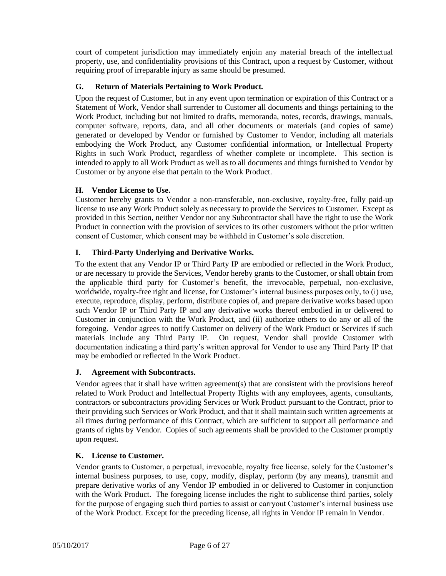court of competent jurisdiction may immediately enjoin any material breach of the intellectual property, use, and confidentiality provisions of this Contract, upon a request by Customer, without requiring proof of irreparable injury as same should be presumed.

#### <span id="page-8-0"></span>**G. Return of Materials Pertaining to Work Product***.*

Upon the request of Customer, but in any event upon termination or expiration of this Contract or a Statement of Work, Vendor shall surrender to Customer all documents and things pertaining to the Work Product, including but not limited to drafts, memoranda, notes, records, drawings, manuals, computer software, reports, data, and all other documents or materials (and copies of same) generated or developed by Vendor or furnished by Customer to Vendor, including all materials embodying the Work Product, any Customer confidential information, or Intellectual Property Rights in such Work Product, regardless of whether complete or incomplete. This section is intended to apply to all Work Product as well as to all documents and things furnished to Vendor by Customer or by anyone else that pertain to the Work Product.

#### <span id="page-8-1"></span>**H. Vendor License to Use.**

Customer hereby grants to Vendor a non-transferable, non-exclusive, royalty-free, fully paid-up license to use any Work Product solely as necessary to provide the Services to Customer. Except as provided in this Section, neither Vendor nor any Subcontractor shall have the right to use the Work Product in connection with the provision of services to its other customers without the prior written consent of Customer, which consent may be withheld in Customer's sole discretion.

#### <span id="page-8-2"></span>**I. Third-Party Underlying and Derivative Works.**

To the extent that any Vendor IP or Third Party IP are embodied or reflected in the Work Product, or are necessary to provide the Services, Vendor hereby grants to the Customer, or shall obtain from the applicable third party for Customer's benefit, the irrevocable, perpetual, non-exclusive, worldwide, royalty-free right and license, for Customer's internal business purposes only, to (i) use, execute, reproduce, display, perform, distribute copies of, and prepare derivative works based upon such Vendor IP or Third Party IP and any derivative works thereof embodied in or delivered to Customer in conjunction with the Work Product, and (ii) authorize others to do any or all of the foregoing. Vendor agrees to notify Customer on delivery of the Work Product or Services if such materials include any Third Party IP. On request, Vendor shall provide Customer with documentation indicating a third party's written approval for Vendor to use any Third Party IP that may be embodied or reflected in the Work Product.

#### <span id="page-8-3"></span>**J. Agreement with Subcontracts.**

Vendor agrees that it shall have written agreement(s) that are consistent with the provisions hereof related to Work Product and Intellectual Property Rights with any employees, agents, consultants, contractors or subcontractors providing Services or Work Product pursuant to the Contract, prior to their providing such Services or Work Product, and that it shall maintain such written agreements at all times during performance of this Contract, which are sufficient to support all performance and grants of rights by Vendor. Copies of such agreements shall be provided to the Customer promptly upon request.

#### <span id="page-8-4"></span>**K. License to Customer.**

Vendor grants to Customer, a perpetual, irrevocable, royalty free license, solely for the Customer's internal business purposes, to use, copy, modify, display, perform (by any means), transmit and prepare derivative works of any Vendor IP embodied in or delivered to Customer in conjunction with the Work Product. The foregoing license includes the right to sublicense third parties, solely for the purpose of engaging such third parties to assist or carryout Customer's internal business use of the Work Product. Except for the preceding license, all rights in Vendor IP remain in Vendor.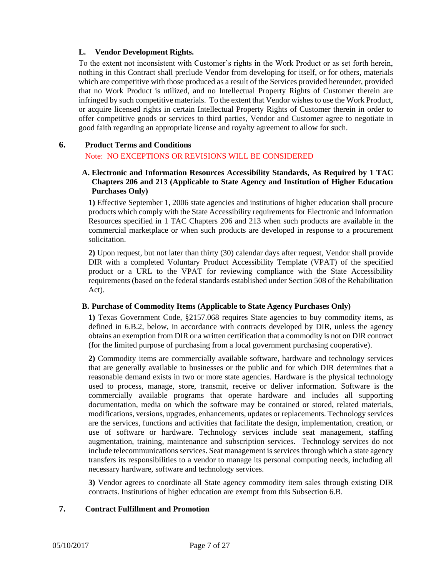#### <span id="page-9-0"></span>**L. Vendor Development Rights.**

To the extent not inconsistent with Customer's rights in the Work Product or as set forth herein, nothing in this Contract shall preclude Vendor from developing for itself, or for others, materials which are competitive with those produced as a result of the Services provided hereunder, provided that no Work Product is utilized, and no Intellectual Property Rights of Customer therein are infringed by such competitive materials. To the extent that Vendor wishes to use the Work Product, or acquire licensed rights in certain Intellectual Property Rights of Customer therein in order to offer competitive goods or services to third parties, Vendor and Customer agree to negotiate in good faith regarding an appropriate license and royalty agreement to allow for such.

#### <span id="page-9-2"></span><span id="page-9-1"></span>**6. Product Terms and Conditions**

#### Note: NO EXCEPTIONS OR REVISIONS WILL BE CONSIDERED

#### **A. Electronic and Information Resources Accessibility Standards, As Required by 1 TAC Chapters 206 and 213 (Applicable to State Agency and Institution of Higher Education Purchases Only)**

**1)** Effective September 1, 2006 state agencies and institutions of higher education shall procure products which comply with the State Accessibility requirements for Electronic and Information Resources specified in 1 TAC Chapters 206 and 213 when such products are available in the commercial marketplace or when such products are developed in response to a procurement solicitation.

**2)** Upon request, but not later than thirty (30) calendar days after request, Vendor shall provide DIR with a completed Voluntary Product Accessibility Template (VPAT) of the specified product or a URL to the VPAT for reviewing compliance with the State Accessibility requirements (based on the federal standards established under Section 508 of the Rehabilitation Act).

#### <span id="page-9-3"></span>**B. Purchase of Commodity Items (Applicable to State Agency Purchases Only)**

**1)** Texas Government Code, §2157.068 requires State agencies to buy commodity items, as defined in 6.B.2, below, in accordance with contracts developed by DIR, unless the agency obtains an exemption from DIR or a written certification that a commodity is not on DIR contract (for the limited purpose of purchasing from a local government purchasing cooperative).

**2)** Commodity items are commercially available software, hardware and technology services that are generally available to businesses or the public and for which DIR determines that a reasonable demand exists in two or more state agencies. Hardware is the physical technology used to process, manage, store, transmit, receive or deliver information. Software is the commercially available programs that operate hardware and includes all supporting documentation, media on which the software may be contained or stored, related materials, modifications, versions, upgrades, enhancements, updates or replacements. Technology services are the services, functions and activities that facilitate the design, implementation, creation, or use of software or hardware. Technology services include seat management, staffing augmentation, training, maintenance and subscription services. Technology services do not include telecommunications services. Seat management is services through which a state agency transfers its responsibilities to a vendor to manage its personal computing needs, including all necessary hardware, software and technology services.

**3)** Vendor agrees to coordinate all State agency commodity item sales through existing DIR contracts. Institutions of higher education are exempt from this Subsection 6.B.

#### <span id="page-9-4"></span>**7. Contract Fulfillment and Promotion**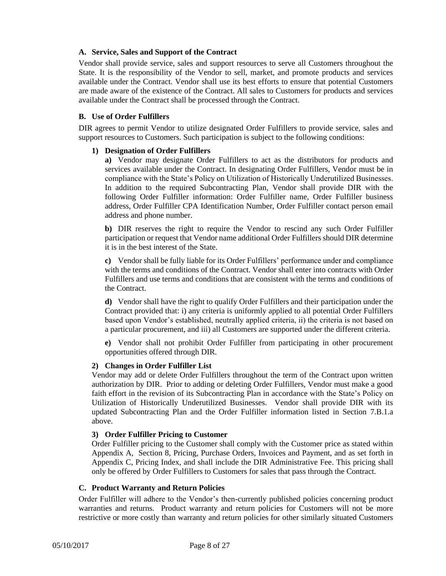#### <span id="page-10-0"></span>**A. Service, Sales and Support of the Contract**

Vendor shall provide service, sales and support resources to serve all Customers throughout the State. It is the responsibility of the Vendor to sell, market, and promote products and services available under the Contract. Vendor shall use its best efforts to ensure that potential Customers are made aware of the existence of the Contract. All sales to Customers for products and services available under the Contract shall be processed through the Contract.

#### <span id="page-10-1"></span>**B. Use of Order Fulfillers**

<span id="page-10-2"></span>DIR agrees to permit Vendor to utilize designated Order Fulfillers to provide service, sales and support resources to Customers. Such participation is subject to the following conditions:

#### **1) Designation of Order Fulfillers**

**a)** Vendor may designate Order Fulfillers to act as the distributors for products and services available under the Contract. In designating Order Fulfillers, Vendor must be in compliance with the State's Policy on Utilization of Historically Underutilized Businesses. In addition to the required Subcontracting Plan, Vendor shall provide DIR with the following Order Fulfiller information: Order Fulfiller name, Order Fulfiller business address, Order Fulfiller CPA Identification Number, Order Fulfiller contact person email address and phone number.

**b)** DIR reserves the right to require the Vendor to rescind any such Order Fulfiller participation or request that Vendor name additional Order Fulfillers should DIR determine it is in the best interest of the State.

**c)** Vendor shall be fully liable for its Order Fulfillers' performance under and compliance with the terms and conditions of the Contract. Vendor shall enter into contracts with Order Fulfillers and use terms and conditions that are consistent with the terms and conditions of the Contract.

**d)** Vendor shall have the right to qualify Order Fulfillers and their participation under the Contract provided that: i) any criteria is uniformly applied to all potential Order Fulfillers based upon Vendor's established, neutrally applied criteria, ii) the criteria is not based on a particular procurement, and iii) all Customers are supported under the different criteria.

**e)** Vendor shall not prohibit Order Fulfiller from participating in other procurement opportunities offered through DIR.

#### <span id="page-10-3"></span>**2) Changes in Order Fulfiller List**

Vendor may add or delete Order Fulfillers throughout the term of the Contract upon written authorization by DIR. Prior to adding or deleting Order Fulfillers, Vendor must make a good faith effort in the revision of its Subcontracting Plan in accordance with the State's Policy on Utilization of Historically Underutilized Businesses. Vendor shall provide DIR with its updated Subcontracting Plan and the Order Fulfiller information listed in Section 7.B.1.a above.

#### <span id="page-10-4"></span>**3) Order Fulfiller Pricing to Customer**

Order Fulfiller pricing to the Customer shall comply with the Customer price as stated within Appendix A, Section 8, Pricing, Purchase Orders, Invoices and Payment, and as set forth in Appendix C, Pricing Index, and shall include the DIR Administrative Fee. This pricing shall only be offered by Order Fulfillers to Customers for sales that pass through the Contract.

#### <span id="page-10-5"></span>**C. Product Warranty and Return Policies**

Order Fulfiller will adhere to the Vendor's then-currently published policies concerning product warranties and returns. Product warranty and return policies for Customers will not be more restrictive or more costly than warranty and return policies for other similarly situated Customers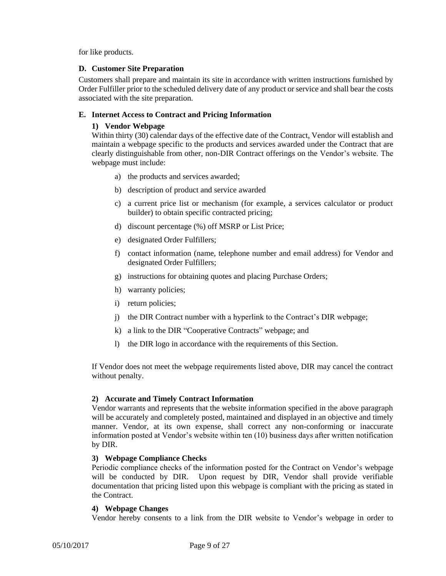for like products.

#### <span id="page-11-0"></span>**D. Customer Site Preparation**

Customers shall prepare and maintain its site in accordance with written instructions furnished by Order Fulfiller prior to the scheduled delivery date of any product or service and shall bear the costs associated with the site preparation.

#### <span id="page-11-2"></span><span id="page-11-1"></span>**E. Internet Access to Contract and Pricing Information**

#### **1) Vendor Webpage**

Within thirty (30) calendar days of the effective date of the Contract, Vendor will establish and maintain a webpage specific to the products and services awarded under the Contract that are clearly distinguishable from other, non-DIR Contract offerings on the Vendor's website. The webpage must include:

- a) the products and services awarded;
- b) description of product and service awarded
- c) a current price list or mechanism (for example, a services calculator or product builder) to obtain specific contracted pricing;
- d) discount percentage (%) off MSRP or List Price;
- e) designated Order Fulfillers;
- f) contact information (name, telephone number and email address) for Vendor and designated Order Fulfillers;
- g) instructions for obtaining quotes and placing Purchase Orders;
- h) warranty policies;
- i) return policies;
- j) the DIR Contract number with a hyperlink to the Contract's DIR webpage;
- k) a link to the DIR "Cooperative Contracts" webpage; and
- l) the DIR logo in accordance with the requirements of this Section.

If Vendor does not meet the webpage requirements listed above, DIR may cancel the contract without penalty.

#### <span id="page-11-3"></span>**2) Accurate and Timely Contract Information**

Vendor warrants and represents that the website information specified in the above paragraph will be accurately and completely posted, maintained and displayed in an objective and timely manner. Vendor, at its own expense, shall correct any non-conforming or inaccurate information posted at Vendor's website within ten (10) business days after written notification by DIR.

#### <span id="page-11-4"></span>**3) Webpage Compliance Checks**

Periodic compliance checks of the information posted for the Contract on Vendor's webpage will be conducted by DIR. Upon request by DIR, Vendor shall provide verifiable documentation that pricing listed upon this webpage is compliant with the pricing as stated in the Contract.

#### <span id="page-11-5"></span>**4) Webpage Changes**

Vendor hereby consents to a link from the DIR website to Vendor's webpage in order to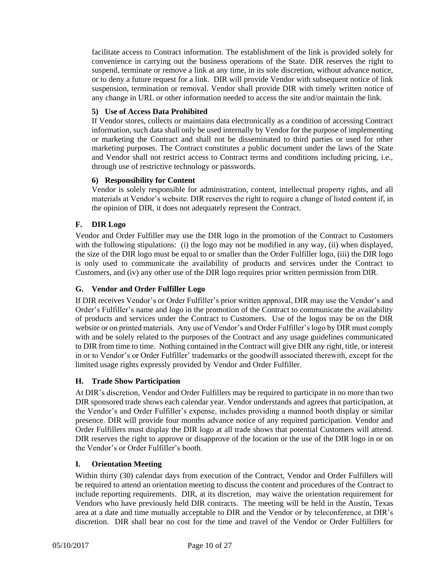facilitate access to Contract information. The establishment of the link is provided solely for convenience in carrying out the business operations of the State. DIR reserves the right to suspend, terminate or remove a link at any time, in its sole discretion, without advance notice, or to deny a future request for a link. DIR will provide Vendor with subsequent notice of link suspension, termination or removal. Vendor shall provide DIR with timely written notice of any change in URL or other information needed to access the site and/or maintain the link.

#### <span id="page-12-0"></span>**5) Use of Access Data Prohibited**

If Vendor stores, collects or maintains data electronically as a condition of accessing Contract information, such data shall only be used internally by Vendor for the purpose of implementing or marketing the Contract and shall not be disseminated to third parties or used for other marketing purposes. The Contract constitutes a public document under the laws of the State and Vendor shall not restrict access to Contract terms and conditions including pricing, i.e., through use of restrictive technology or passwords.

#### <span id="page-12-1"></span>**6) Responsibility for Content**

Vendor is solely responsible for administration, content, intellectual property rights, and all materials at Vendor's website. DIR reserves the right to require a change of listed content if, in the opinion of DIR, it does not adequately represent the Contract.

#### <span id="page-12-2"></span>**F. DIR Logo**

Vendor and Order Fulfiller may use the DIR logo in the promotion of the Contract to Customers with the following stipulations: (i) the logo may not be modified in any way, (ii) when displayed, the size of the DIR logo must be equal to or smaller than the Order Fulfiller logo, (iii) the DIR logo is only used to communicate the availability of products and services under the Contract to Customers, and (iv) any other use of the DIR logo requires prior written permission from DIR.

#### <span id="page-12-3"></span>**G. Vendor and Order Fulfiller Logo**

If DIR receives Vendor's or Order Fulfiller's prior written approval, DIR may use the Vendor's and Order's Fulfiller's name and logo in the promotion of the Contract to communicate the availability of products and services under the Contract to Customers. Use of the logos may be on the DIR website or on printed materials. Any use of Vendor's and Order Fulfiller's logo by DIR must comply with and be solely related to the purposes of the Contract and any usage guidelines communicated to DIR from time to time. Nothing contained in the Contract will give DIR any right, title, or interest in or to Vendor's or Order Fulfiller' trademarks or the goodwill associated therewith, except for the limited usage rights expressly provided by Vendor and Order Fulfiller.

#### <span id="page-12-4"></span>**H. Trade Show Participation**

At DIR's discretion, Vendor and Order Fulfillers may be required to participate in no more than two DIR sponsored trade shows each calendar year. Vendor understands and agrees that participation, at the Vendor's and Order Fulfiller's expense, includes providing a manned booth display or similar presence. DIR will provide four months advance notice of any required participation. Vendor and Order Fulfillers must display the DIR logo at all trade shows that potential Customers will attend. DIR reserves the right to approve or disapprove of the location or the use of the DIR logo in or on the Vendor's or Order Fulfiller's booth.

#### <span id="page-12-5"></span>**I. Orientation Meeting**

Within thirty (30) calendar days from execution of the Contract, Vendor and Order Fulfillers will be required to attend an orientation meeting to discuss the content and procedures of the Contract to include reporting requirements. DIR, at its discretion, may waive the orientation requirement for Vendors who have previously held DIR contracts. The meeting will be held in the Austin, Texas area at a date and time mutually acceptable to DIR and the Vendor or by teleconference, at DIR's discretion. DIR shall bear no cost for the time and travel of the Vendor or Order Fulfillers for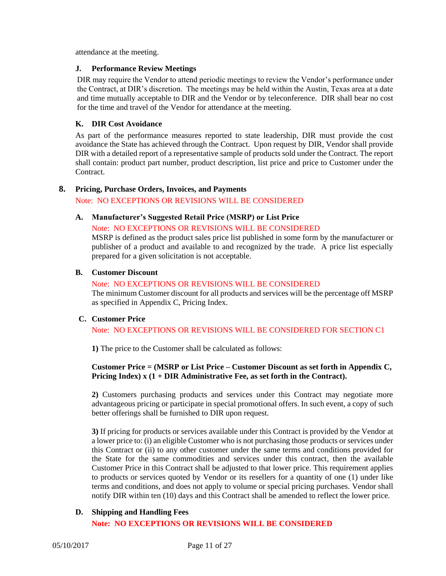attendance at the meeting.

#### <span id="page-13-0"></span>**J. Performance Review Meetings**

DIR may require the Vendor to attend periodic meetings to review the Vendor's performance under the Contract, at DIR's discretion. The meetings may be held within the Austin, Texas area at a date and time mutually acceptable to DIR and the Vendor or by teleconference. DIR shall bear no cost for the time and travel of the Vendor for attendance at the meeting.

#### <span id="page-13-1"></span>**K. DIR Cost Avoidance**

As part of the performance measures reported to state leadership, DIR must provide the cost avoidance the State has achieved through the Contract. Upon request by DIR, Vendor shall provide DIR with a detailed report of a representative sample of products sold under the Contract. The report shall contain: product part number, product description, list price and price to Customer under the Contract.

#### <span id="page-13-3"></span><span id="page-13-2"></span>**8. Pricing, Purchase Orders, Invoices, and Payments**

Note: NO EXCEPTIONS OR REVISIONS WILL BE CONSIDERED

#### **A. Manufacturer's Suggested Retail Price (MSRP) or List Price**

Note: NO EXCEPTIONS OR REVISIONS WILL BE CONSIDERED

MSRP is defined as the product sales price list published in some form by the manufacturer or publisher of a product and available to and recognized by the trade. A price list especially prepared for a given solicitation is not acceptable.

#### <span id="page-13-4"></span>**B. Customer Discount**

Note: NO EXCEPTIONS OR REVISIONS WILL BE CONSIDERED The minimum Customer discount for all products and services will be the percentage off MSRP as specified in Appendix C, Pricing Index.

#### <span id="page-13-5"></span>**C. Customer Price**

Note: NO EXCEPTIONS OR REVISIONS WILL BE CONSIDERED FOR SECTION C1

**1)** The price to the Customer shall be calculated as follows:

#### **Customer Price = (MSRP or List Price – Customer Discount as set forth in Appendix C, Pricing Index) x (1 + DIR Administrative Fee, as set forth in the Contract).**

**2)** Customers purchasing products and services under this Contract may negotiate more advantageous pricing or participate in special promotional offers. In such event, a copy of such better offerings shall be furnished to DIR upon request.

**3)** If pricing for products or services available under this Contract is provided by the Vendor at a lower price to: (i) an eligible Customer who is not purchasing those products or services under this Contract or (ii) to any other customer under the same terms and conditions provided for the State for the same commodities and services under this contract, then the available Customer Price in this Contract shall be adjusted to that lower price. This requirement applies to products or services quoted by Vendor or its resellers for a quantity of one (1) under like terms and conditions, and does not apply to volume or special pricing purchases. Vendor shall notify DIR within ten (10) days and this Contract shall be amended to reflect the lower price.

#### <span id="page-13-6"></span>**D. Shipping and Handling Fees**

#### **Note: NO EXCEPTIONS OR REVISIONS WILL BE CONSIDERED**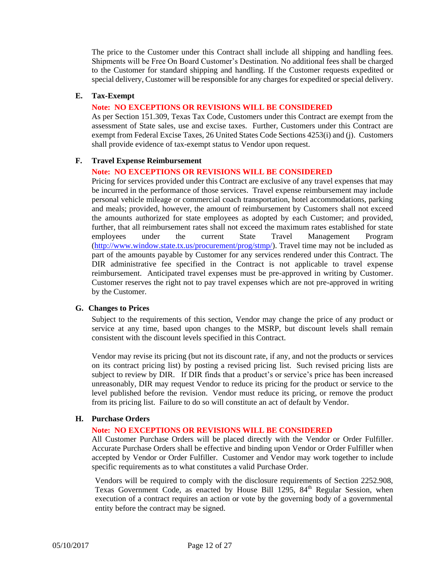The price to the Customer under this Contract shall include all shipping and handling fees. Shipments will be Free On Board Customer's Destination. No additional fees shall be charged to the Customer for standard shipping and handling. If the Customer requests expedited or special delivery, Customer will be responsible for any charges for expedited or special delivery.

#### <span id="page-14-0"></span>**E. Tax-Exempt**

#### **Note: NO EXCEPTIONS OR REVISIONS WILL BE CONSIDERED**

As per Section 151.309, Texas Tax Code, Customers under this Contract are exempt from the assessment of State sales, use and excise taxes. Further, Customers under this Contract are exempt from Federal Excise Taxes, 26 United States Code Sections 4253(i) and (j). Customers shall provide evidence of tax-exempt status to Vendor upon request.

#### <span id="page-14-1"></span>**F. Travel Expense Reimbursement**

#### **Note: NO EXCEPTIONS OR REVISIONS WILL BE CONSIDERED**

Pricing for services provided under this Contract are exclusive of any travel expenses that may be incurred in the performance of those services. Travel expense reimbursement may include personal vehicle mileage or commercial coach transportation, hotel accommodations, parking and meals; provided, however, the amount of reimbursement by Customers shall not exceed the amounts authorized for state employees as adopted by each Customer; and provided, further, that all reimbursement rates shall not exceed the maximum rates established for state employees under the current State Travel Management Program [\(http://www.window.state.tx.us/procurement/prog/stmp/\)](http://www.window.state.tx.us/procurement/prog/stmp/). Travel time may not be included as part of the amounts payable by Customer for any services rendered under this Contract. The DIR administrative fee specified in the Contract is not applicable to travel expense reimbursement. Anticipated travel expenses must be pre-approved in writing by Customer. Customer reserves the right not to pay travel expenses which are not pre-approved in writing by the Customer.

#### <span id="page-14-2"></span>**G. Changes to Prices**

Subject to the requirements of this section, Vendor may change the price of any product or service at any time, based upon changes to the MSRP, but discount levels shall remain consistent with the discount levels specified in this Contract.

Vendor may revise its pricing (but not its discount rate, if any, and not the products or services on its contract pricing list) by posting a revised pricing list. Such revised pricing lists are subject to review by DIR. If DIR finds that a product's or service's price has been increased unreasonably, DIR may request Vendor to reduce its pricing for the product or service to the level published before the revision. Vendor must reduce its pricing, or remove the product from its pricing list. Failure to do so will constitute an act of default by Vendor.

#### <span id="page-14-3"></span>**H. Purchase Orders**

#### **Note: NO EXCEPTIONS OR REVISIONS WILL BE CONSIDERED**

All Customer Purchase Orders will be placed directly with the Vendor or Order Fulfiller. Accurate Purchase Orders shall be effective and binding upon Vendor or Order Fulfiller when accepted by Vendor or Order Fulfiller. Customer and Vendor may work together to include specific requirements as to what constitutes a valid Purchase Order.

Vendors will be required to comply with the disclosure requirements of Section 2252.908, Texas Government Code, as enacted by House Bill 1295, 84<sup>th</sup> Regular Session, when execution of a contract requires an action or vote by the governing body of a governmental entity before the contract may be signed.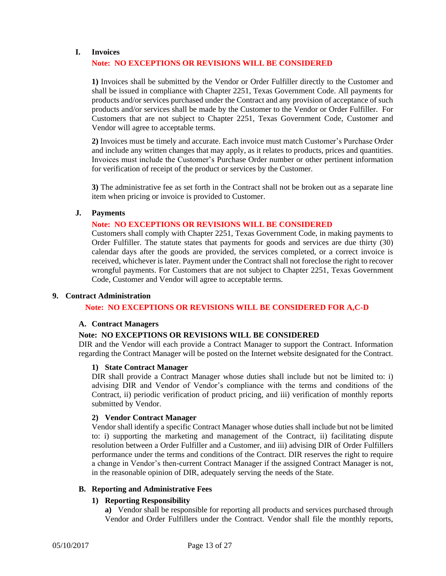#### <span id="page-15-0"></span>**I. Invoices**

#### **Note: NO EXCEPTIONS OR REVISIONS WILL BE CONSIDERED**

**1)** Invoices shall be submitted by the Vendor or Order Fulfiller directly to the Customer and shall be issued in compliance with Chapter 2251, Texas Government Code. All payments for products and/or services purchased under the Contract and any provision of acceptance of such products and/or services shall be made by the Customer to the Vendor or Order Fulfiller. For Customers that are not subject to Chapter 2251, Texas Government Code, Customer and Vendor will agree to acceptable terms.

**2)** Invoices must be timely and accurate. Each invoice must match Customer's Purchase Order and include any written changes that may apply, as it relates to products, prices and quantities. Invoices must include the Customer's Purchase Order number or other pertinent information for verification of receipt of the product or services by the Customer.

**3)** The administrative fee as set forth in the Contract shall not be broken out as a separate line item when pricing or invoice is provided to Customer.

#### <span id="page-15-1"></span>**J. Payments**

#### **Note: NO EXCEPTIONS OR REVISIONS WILL BE CONSIDERED**

Customers shall comply with Chapter 2251, Texas Government Code, in making payments to Order Fulfiller. The statute states that payments for goods and services are due thirty (30) calendar days after the goods are provided, the services completed, or a correct invoice is received, whichever is later. Payment under the Contract shall not foreclose the right to recover wrongful payments. For Customers that are not subject to Chapter 2251, Texas Government Code, Customer and Vendor will agree to acceptable terms.

#### <span id="page-15-3"></span><span id="page-15-2"></span>**9. Contract Administration**

**Note: NO EXCEPTIONS OR REVISIONS WILL BE CONSIDERED FOR A,C-D**

#### **A. Contract Managers**

#### **Note: NO EXCEPTIONS OR REVISIONS WILL BE CONSIDERED**

<span id="page-15-4"></span>DIR and the Vendor will each provide a Contract Manager to support the Contract. Information regarding the Contract Manager will be posted on the Internet website designated for the Contract.

#### **1) State Contract Manager**

DIR shall provide a Contract Manager whose duties shall include but not be limited to: i) advising DIR and Vendor of Vendor's compliance with the terms and conditions of the Contract, ii) periodic verification of product pricing, and iii) verification of monthly reports submitted by Vendor.

#### <span id="page-15-5"></span>**2) Vendor Contract Manager**

Vendor shall identify a specific Contract Manager whose duties shall include but not be limited to: i) supporting the marketing and management of the Contract, ii) facilitating dispute resolution between a Order Fulfiller and a Customer, and iii) advising DIR of Order Fulfillers performance under the terms and conditions of the Contract. DIR reserves the right to require a change in Vendor's then-current Contract Manager if the assigned Contract Manager is not, in the reasonable opinion of DIR, adequately serving the needs of the State.

#### <span id="page-15-7"></span><span id="page-15-6"></span>**B. Reporting and Administrative Fees**

#### **1) Reporting Responsibility**

**a)** Vendor shall be responsible for reporting all products and services purchased through Vendor and Order Fulfillers under the Contract. Vendor shall file the monthly reports,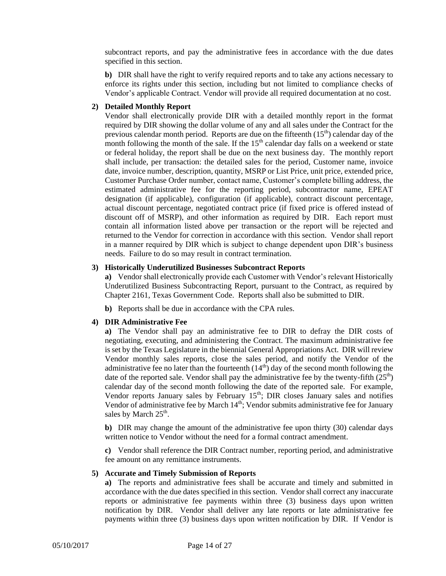subcontract reports, and pay the administrative fees in accordance with the due dates specified in this section.

**b)** DIR shall have the right to verify required reports and to take any actions necessary to enforce its rights under this section, including but not limited to compliance checks of Vendor's applicable Contract. Vendor will provide all required documentation at no cost.

#### <span id="page-16-0"></span>**2) Detailed Monthly Report**

Vendor shall electronically provide DIR with a detailed monthly report in the format required by DIR showing the dollar volume of any and all sales under the Contract for the previous calendar month period. Reports are due on the fifteenth  $(15<sup>th</sup>)$  calendar day of the month following the month of the sale. If the  $15<sup>th</sup>$  calendar day falls on a weekend or state or federal holiday, the report shall be due on the next business day. The monthly report shall include, per transaction: the detailed sales for the period, Customer name, invoice date, invoice number, description, quantity, MSRP or List Price, unit price, extended price, Customer Purchase Order number, contact name, Customer's complete billing address, the estimated administrative fee for the reporting period, subcontractor name, EPEAT designation (if applicable), configuration (if applicable), contract discount percentage, actual discount percentage, negotiated contract price (if fixed price is offered instead of discount off of MSRP), and other information as required by DIR. Each report must contain all information listed above per transaction or the report will be rejected and returned to the Vendor for correction in accordance with this section. Vendor shall report in a manner required by DIR which is subject to change dependent upon DIR's business needs. Failure to do so may result in contract termination.

#### <span id="page-16-1"></span>**3) Historically Underutilized Businesses Subcontract Reports**

**a)** Vendor shall electronically provide each Customer with Vendor's relevant Historically Underutilized Business Subcontracting Report, pursuant to the Contract, as required by Chapter 2161, Texas Government Code. Reports shall also be submitted to DIR.

**b)** Reports shall be due in accordance with the CPA rules.

#### <span id="page-16-2"></span>**4) DIR Administrative Fee**

**a)** The Vendor shall pay an administrative fee to DIR to defray the DIR costs of negotiating, executing, and administering the Contract. The maximum administrative fee is set by the Texas Legislature in the biennial General Appropriations Act. DIR will review Vendor monthly sales reports, close the sales period, and notify the Vendor of the administrative fee no later than the fourteenth  $(14<sup>th</sup>)$  day of the second month following the date of the reported sale. Vendor shall pay the administrative fee by the twenty-fifth  $(25<sup>th</sup>)$ calendar day of the second month following the date of the reported sale. For example, Vendor reports January sales by February 15<sup>th</sup>; DIR closes January sales and notifies Vendor of administrative fee by March  $14<sup>th</sup>$ ; Vendor submits administrative fee for January sales by March 25<sup>th</sup>.

**b)** DIR may change the amount of the administrative fee upon thirty (30) calendar days written notice to Vendor without the need for a formal contract amendment.

**c)** Vendor shall reference the DIR Contract number, reporting period, and administrative fee amount on any remittance instruments.

#### <span id="page-16-3"></span>**5) Accurate and Timely Submission of Reports**

**a)** The reports and administrative fees shall be accurate and timely and submitted in accordance with the due dates specified in this section. Vendor shall correct any inaccurate reports or administrative fee payments within three (3) business days upon written notification by DIR. Vendor shall deliver any late reports or late administrative fee payments within three (3) business days upon written notification by DIR. If Vendor is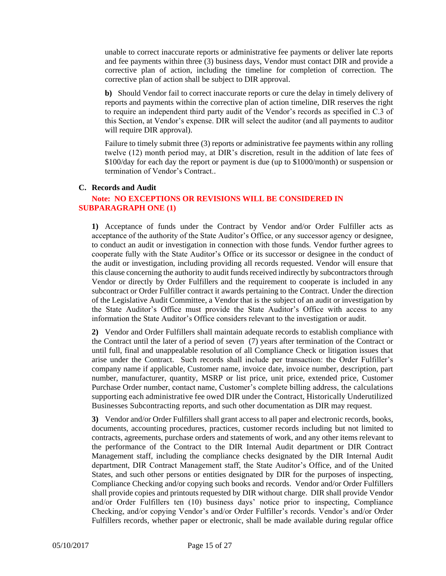unable to correct inaccurate reports or administrative fee payments or deliver late reports and fee payments within three (3) business days, Vendor must contact DIR and provide a corrective plan of action, including the timeline for completion of correction. The corrective plan of action shall be subject to DIR approval.

**b)** Should Vendor fail to correct inaccurate reports or cure the delay in timely delivery of reports and payments within the corrective plan of action timeline, DIR reserves the right to require an independent third party audit of the Vendor's records as specified in C.3 of this Section, at Vendor's expense. DIR will select the auditor (and all payments to auditor will require DIR approval).

Failure to timely submit three (3) reports or administrative fee payments within any rolling twelve (12) month period may, at DIR's discretion, result in the addition of late fees of \$100/day for each day the report or payment is due (up to \$1000/month) or suspension or termination of Vendor's Contract..

#### <span id="page-17-0"></span>**C. Records and Audit**

#### **Note: NO EXCEPTIONS OR REVISIONS WILL BE CONSIDERED IN SUBPARAGRAPH ONE (1)**

**1)** Acceptance of funds under the Contract by Vendor and/or Order Fulfiller acts as acceptance of the authority of the State Auditor's Office, or any successor agency or designee, to conduct an audit or investigation in connection with those funds. Vendor further agrees to cooperate fully with the State Auditor's Office or its successor or designee in the conduct of the audit or investigation, including providing all records requested. Vendor will ensure that this clause concerning the authority to audit funds received indirectly by subcontractors through Vendor or directly by Order Fulfillers and the requirement to cooperate is included in any subcontract or Order Fulfiller contract it awards pertaining to the Contract. Under the direction of the Legislative Audit Committee, a Vendor that is the subject of an audit or investigation by the State Auditor's Office must provide the State Auditor's Office with access to any information the State Auditor's Office considers relevant to the investigation or audit.

**2)** Vendor and Order Fulfillers shall maintain adequate records to establish compliance with the Contract until the later of a period of seven (7) years after termination of the Contract or until full, final and unappealable resolution of all Compliance Check or litigation issues that arise under the Contract. Such records shall include per transaction: the Order Fulfiller's company name if applicable, Customer name, invoice date, invoice number, description, part number, manufacturer, quantity, MSRP or list price, unit price, extended price, Customer Purchase Order number, contact name, Customer's complete billing address, the calculations supporting each administrative fee owed DIR under the Contract, Historically Underutilized Businesses Subcontracting reports, and such other documentation as DIR may request.

**3)** Vendor and/or Order Fulfillers shall grant access to all paper and electronic records, books, documents, accounting procedures, practices, customer records including but not limited to contracts, agreements, purchase orders and statements of work, and any other items relevant to the performance of the Contract to the DIR Internal Audit department or DIR Contract Management staff, including the compliance checks designated by the DIR Internal Audit department, DIR Contract Management staff, the State Auditor's Office, and of the United States, and such other persons or entities designated by DIR for the purposes of inspecting, Compliance Checking and/or copying such books and records. Vendor and/or Order Fulfillers shall provide copies and printouts requested by DIR without charge. DIR shall provide Vendor and/or Order Fulfillers ten (10) business days' notice prior to inspecting, Compliance Checking, and/or copying Vendor's and/or Order Fulfiller's records. Vendor's and/or Order Fulfillers records, whether paper or electronic, shall be made available during regular office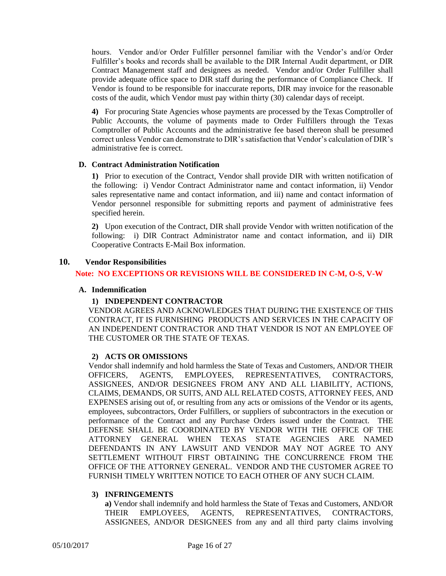hours. Vendor and/or Order Fulfiller personnel familiar with the Vendor's and/or Order Fulfiller's books and records shall be available to the DIR Internal Audit department, or DIR Contract Management staff and designees as needed. Vendor and/or Order Fulfiller shall provide adequate office space to DIR staff during the performance of Compliance Check. If Vendor is found to be responsible for inaccurate reports, DIR may invoice for the reasonable costs of the audit, which Vendor must pay within thirty  $(30)$  calendar days of receipt.

**4)** For procuring State Agencies whose payments are processed by the Texas Comptroller of Public Accounts, the volume of payments made to Order Fulfillers through the Texas Comptroller of Public Accounts and the administrative fee based thereon shall be presumed correct unless Vendor can demonstrate to DIR's satisfaction that Vendor's calculation of DIR's administrative fee is correct.

#### <span id="page-18-0"></span>**D. Contract Administration Notification**

**1)** Prior to execution of the Contract, Vendor shall provide DIR with written notification of the following: i) Vendor Contract Administrator name and contact information, ii) Vendor sales representative name and contact information, and iii) name and contact information of Vendor personnel responsible for submitting reports and payment of administrative fees specified herein.

**2)** Upon execution of the Contract, DIR shall provide Vendor with written notification of the following: i) DIR Contract Administrator name and contact information, and ii) DIR Cooperative Contracts E-Mail Box information.

#### <span id="page-18-2"></span><span id="page-18-1"></span>**10. Vendor Responsibilities**

#### **Note: NO EXCEPTIONS OR REVISIONS WILL BE CONSIDERED IN C-M, O-S, V-W**

#### <span id="page-18-3"></span>**A. Indemnification**

#### **1) INDEPENDENT CONTRACTOR**

VENDOR AGREES AND ACKNOWLEDGES THAT DURING THE EXISTENCE OF THIS CONTRACT, IT IS FURNISHING PRODUCTS AND SERVICES IN THE CAPACITY OF AN INDEPENDENT CONTRACTOR AND THAT VENDOR IS NOT AN EMPLOYEE OF THE CUSTOMER OR THE STATE OF TEXAS.

#### **2) ACTS OR OMISSIONS**

<span id="page-18-4"></span>Vendor shall indemnify and hold harmless the State of Texas and Customers, AND/OR THEIR OFFICERS, AGENTS, EMPLOYEES, REPRESENTATIVES, CONTRACTORS, ASSIGNEES, AND/OR DESIGNEES FROM ANY AND ALL LIABILITY, ACTIONS, CLAIMS, DEMANDS, OR SUITS, AND ALL RELATED COSTS, ATTORNEY FEES, AND EXPENSES arising out of, or resulting from any acts or omissions of the Vendor or its agents, employees, subcontractors, Order Fulfillers, or suppliers of subcontractors in the execution or performance of the Contract and any Purchase Orders issued under the Contract. THE DEFENSE SHALL BE COORDINATED BY VENDOR WITH THE OFFICE OF THE ATTORNEY GENERAL WHEN TEXAS STATE AGENCIES ARE NAMED DEFENDANTS IN ANY LAWSUIT AND VENDOR MAY NOT AGREE TO ANY SETTLEMENT WITHOUT FIRST OBTAINING THE CONCURRENCE FROM THE OFFICE OF THE ATTORNEY GENERAL. VENDOR AND THE CUSTOMER AGREE TO FURNISH TIMELY WRITTEN NOTICE TO EACH OTHER OF ANY SUCH CLAIM.

#### <span id="page-18-5"></span>**3) INFRINGEMENTS**

**a)** Vendor shall indemnify and hold harmless the State of Texas and Customers, AND/OR THEIR EMPLOYEES, AGENTS, REPRESENTATIVES, CONTRACTORS, ASSIGNEES, AND/OR DESIGNEES from any and all third party claims involving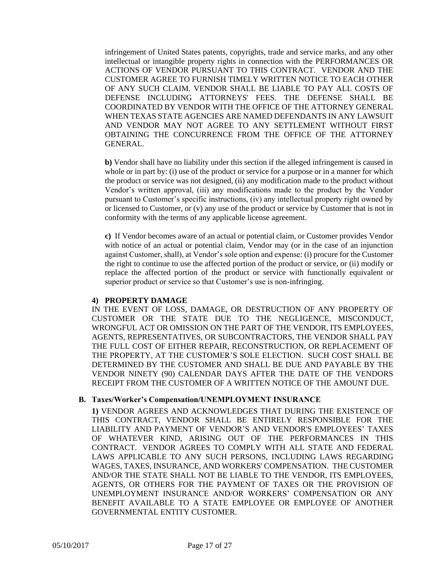infringement of United States patents, copyrights, trade and service marks, and any other intellectual or intangible property rights in connection with the PERFORMANCES OR ACTIONS OF VENDOR PURSUANT TO THIS CONTRACT. VENDOR AND THE CUSTOMER AGREE TO FURNISH TIMELY WRITTEN NOTICE TO EACH OTHER OF ANY SUCH CLAIM. VENDOR SHALL BE LIABLE TO PAY ALL COSTS OF DEFENSE INCLUDING ATTORNEYS' FEES. THE DEFENSE SHALL BE COORDINATED BY VENDOR WITH THE OFFICE OF THE ATTORNEY GENERAL WHEN TEXAS STATE AGENCIES ARE NAMED DEFENDANTS IN ANY LAWSUIT AND VENDOR MAY NOT AGREE TO ANY SETTLEMENT WITHOUT FIRST OBTAINING THE CONCURRENCE FROM THE OFFICE OF THE ATTORNEY GENERAL.

**b)** Vendor shall have no liability under this section if the alleged infringement is caused in whole or in part by: (i) use of the product or service for a purpose or in a manner for which the product or service was not designed, (ii) any modification made to the product without Vendor's written approval, (iii) any modifications made to the product by the Vendor pursuant to Customer's specific instructions, (iv) any intellectual property right owned by or licensed to Customer, or (v) any use of the product or service by Customer that is not in conformity with the terms of any applicable license agreement.

**c)** If Vendor becomes aware of an actual or potential claim, or Customer provides Vendor with notice of an actual or potential claim, Vendor may (or in the case of an injunction against Customer, shall), at Vendor's sole option and expense: (i) procure for the Customer the right to continue to use the affected portion of the product or service, or (ii) modify or replace the affected portion of the product or service with functionally equivalent or superior product or service so that Customer's use is non-infringing.

#### <span id="page-19-0"></span>**4) PROPERTY DAMAGE**

IN THE EVENT OF LOSS, DAMAGE, OR DESTRUCTION OF ANY PROPERTY OF CUSTOMER OR THE STATE DUE TO THE NEGLIGENCE, MISCONDUCT, WRONGFUL ACT OR OMISSION ON THE PART OF THE VENDOR, ITS EMPLOYEES, AGENTS, REPRESENTATIVES, OR SUBCONTRACTORS, THE VENDOR SHALL PAY THE FULL COST OF EITHER REPAIR, RECONSTRUCTION, OR REPLACEMENT OF THE PROPERTY, AT THE CUSTOMER'S SOLE ELECTION. SUCH COST SHALL BE DETERMINED BY THE CUSTOMER AND SHALL BE DUE AND PAYABLE BY THE VENDOR NINETY (90) CALENDAR DAYS AFTER THE DATE OF THE VENDORS RECEIPT FROM THE CUSTOMER OF A WRITTEN NOTICE OF THE AMOUNT DUE.

#### <span id="page-19-1"></span>**B. Taxes/Worker's Compensation/UNEMPLOYMENT INSURANCE**

**1)** VENDOR AGREES AND ACKNOWLEDGES THAT DURING THE EXISTENCE OF THIS CONTRACT, VENDOR SHALL BE ENTIRELY RESPONSIBLE FOR THE LIABILITY AND PAYMENT OF VENDOR'S AND VENDOR'S EMPLOYEES' TAXES OF WHATEVER KIND, ARISING OUT OF THE PERFORMANCES IN THIS CONTRACT. VENDOR AGREES TO COMPLY WITH ALL STATE AND FEDERAL LAWS APPLICABLE TO ANY SUCH PERSONS, INCLUDING LAWS REGARDING WAGES, TAXES, INSURANCE, AND WORKERS' COMPENSATION. THE CUSTOMER AND/OR THE STATE SHALL NOT BE LIABLE TO THE VENDOR, ITS EMPLOYEES, AGENTS, OR OTHERS FOR THE PAYMENT OF TAXES OR THE PROVISION OF UNEMPLOYMENT INSURANCE AND/OR WORKERS' COMPENSATION OR ANY BENEFIT AVAILABLE TO A STATE EMPLOYEE OR EMPLOYEE OF ANOTHER GOVERNMENTAL ENTITY CUSTOMER.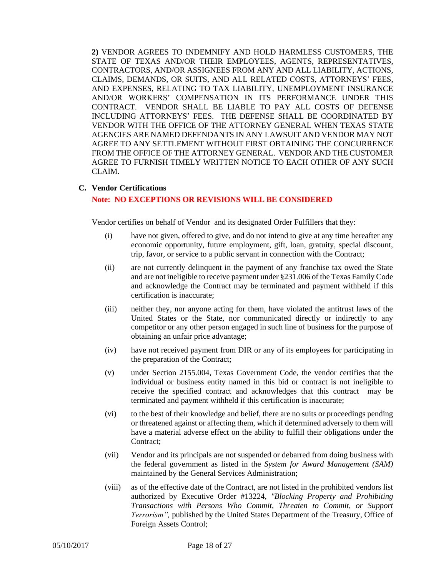**2)** VENDOR AGREES TO INDEMNIFY AND HOLD HARMLESS CUSTOMERS, THE STATE OF TEXAS AND/OR THEIR EMPLOYEES, AGENTS, REPRESENTATIVES, CONTRACTORS, AND/OR ASSIGNEES FROM ANY AND ALL LIABILITY, ACTIONS, CLAIMS, DEMANDS, OR SUITS, AND ALL RELATED COSTS, ATTORNEYS' FEES, AND EXPENSES, RELATING TO TAX LIABILITY, UNEMPLOYMENT INSURANCE AND/OR WORKERS' COMPENSATION IN ITS PERFORMANCE UNDER THIS CONTRACT. VENDOR SHALL BE LIABLE TO PAY ALL COSTS OF DEFENSE INCLUDING ATTORNEYS' FEES. THE DEFENSE SHALL BE COORDINATED BY VENDOR WITH THE OFFICE OF THE ATTORNEY GENERAL WHEN TEXAS STATE AGENCIES ARE NAMED DEFENDANTS IN ANY LAWSUIT AND VENDOR MAY NOT AGREE TO ANY SETTLEMENT WITHOUT FIRST OBTAINING THE CONCURRENCE FROM THE OFFICE OF THE ATTORNEY GENERAL. VENDOR AND THE CUSTOMER AGREE TO FURNISH TIMELY WRITTEN NOTICE TO EACH OTHER OF ANY SUCH CLAIM.

#### <span id="page-20-0"></span>**C. Vendor Certifications**

#### **Note: NO EXCEPTIONS OR REVISIONS WILL BE CONSIDERED**

Vendor certifies on behalf of Vendor and its designated Order Fulfillers that they:

- (i) have not given, offered to give, and do not intend to give at any time hereafter any economic opportunity, future employment, gift, loan, gratuity, special discount, trip, favor, or service to a public servant in connection with the Contract;
- (ii) are not currently delinquent in the payment of any franchise tax owed the State and are not ineligible to receive payment under §231.006 of the Texas Family Code and acknowledge the Contract may be terminated and payment withheld if this certification is inaccurate;
- (iii) neither they, nor anyone acting for them, have violated the antitrust laws of the United States or the State, nor communicated directly or indirectly to any competitor or any other person engaged in such line of business for the purpose of obtaining an unfair price advantage;
- (iv) have not received payment from DIR or any of its employees for participating in the preparation of the Contract;
- (v) under Section 2155.004, Texas Government Code, the vendor certifies that the individual or business entity named in this bid or contract is not ineligible to receive the specified contract and acknowledges that this contract may be terminated and payment withheld if this certification is inaccurate;
- (vi) to the best of their knowledge and belief, there are no suits or proceedings pending or threatened against or affecting them, which if determined adversely to them will have a material adverse effect on the ability to fulfill their obligations under the Contract;
- (vii) Vendor and its principals are not suspended or debarred from doing business with the federal government as listed in the *System for Award Management (SAM)* maintained by the General Services Administration;
- (viii) as of the effective date of the Contract, are not listed in the prohibited vendors list authorized by Executive Order #13224, *"Blocking Property and Prohibiting Transactions with Persons Who Commit, Threaten to Commit, or Support Terrorism",* published by the United States Department of the Treasury, Office of Foreign Assets Control;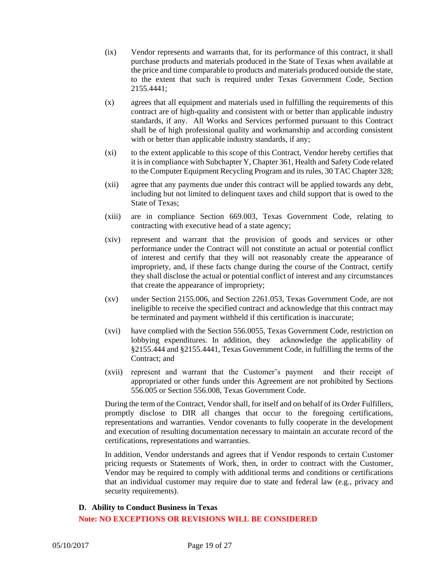- (ix) Vendor represents and warrants that, for its performance of this contract, it shall purchase products and materials produced in the State of Texas when available at the price and time comparable to products and materials produced outside the state, to the extent that such is required under Texas Government Code, Section 2155.4441;
- (x) agrees that all equipment and materials used in fulfilling the requirements of this contract are of high-quality and consistent with or better than applicable industry standards, if any. All Works and Services performed pursuant to this Contract shall be of high professional quality and workmanship and according consistent with or better than applicable industry standards, if any;
- (xi) to the extent applicable to this scope of this Contract, Vendor hereby certifies that it is in compliance with Subchapter Y, Chapter 361, Health and Safety Code related to the Computer Equipment Recycling Program and its rules, 30 TAC Chapter 328;
- (xii) agree that any payments due under this contract will be applied towards any debt, including but not limited to delinquent taxes and child support that is owed to the State of Texas;
- (xiii) are in compliance Section 669.003, Texas Government Code, relating to contracting with executive head of a state agency;
- (xiv) represent and warrant that the provision of goods and services or other performance under the Contract will not constitute an actual or potential conflict of interest and certify that they will not reasonably create the appearance of impropriety, and, if these facts change during the course of the Contract, certify they shall disclose the actual or potential conflict of interest and any circumstances that create the appearance of impropriety;
- (xv) under Section 2155.006, and Section [2261.053,](http://www.statutes.legis.state.tx.us/GetStatute.aspx?Code=GV&Value=2261.053&Date=12/11/2015) Texas Government Code, are not ineligible to receive the specified contract and acknowledge that this contract may be terminated and payment withheld if this certification is inaccurate;
- (xvi) have complied with the Section 556.0055, Texas Government Code, restriction on lobbying expenditures. In addition, they acknowledge the applicability of §2155.444 and §2155.4441, Texas Government Code, in fulfilling the terms of the Contract; and
- (xvii) represent and warrant that the Customer's payment and their receipt of appropriated or other funds under this Agreement are not prohibited by Sections 556.005 or Section 556.008, Texas Government Code.

During the term of the Contract, Vendor shall, for itself and on behalf of its Order Fulfillers, promptly disclose to DIR all changes that occur to the foregoing certifications, representations and warranties. Vendor covenants to fully cooperate in the development and execution of resulting documentation necessary to maintain an accurate record of the certifications, representations and warranties.

In addition, Vendor understands and agrees that if Vendor responds to certain Customer pricing requests or Statements of Work, then, in order to contract with the Customer, Vendor may be required to comply with additional terms and conditions or certifications that an individual customer may require due to state and federal law (e.g., privacy and security requirements).

#### <span id="page-21-0"></span>**D. Ability to Conduct Business in Texas**

#### **Note: NO EXCEPTIONS OR REVISIONS WILL BE CONSIDERED**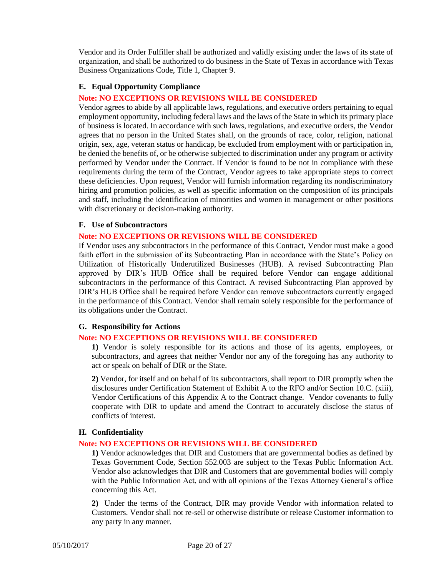Vendor and its Order Fulfiller shall be authorized and validly existing under the laws of its state of organization, and shall be authorized to do business in the State of Texas in accordance with Texas Business Organizations Code, Title 1, Chapter 9.

#### <span id="page-22-0"></span>**E. Equal Opportunity Compliance**

#### **Note: NO EXCEPTIONS OR REVISIONS WILL BE CONSIDERED**

Vendor agrees to abide by all applicable laws, regulations, and executive orders pertaining to equal employment opportunity, including federal laws and the laws of the State in which its primary place of business is located. In accordance with such laws, regulations, and executive orders, the Vendor agrees that no person in the United States shall, on the grounds of race, color, religion, national origin, sex, age, veteran status or handicap, be excluded from employment with or participation in, be denied the benefits of, or be otherwise subjected to discrimination under any program or activity performed by Vendor under the Contract. If Vendor is found to be not in compliance with these requirements during the term of the Contract, Vendor agrees to take appropriate steps to correct these deficiencies. Upon request, Vendor will furnish information regarding its nondiscriminatory hiring and promotion policies, as well as specific information on the composition of its principals and staff, including the identification of minorities and women in management or other positions with discretionary or decision-making authority.

#### <span id="page-22-1"></span>**F. Use of Subcontractors**

#### **Note: NO EXCEPTIONS OR REVISIONS WILL BE CONSIDERED**

If Vendor uses any subcontractors in the performance of this Contract, Vendor must make a good faith effort in the submission of its Subcontracting Plan in accordance with the State's Policy on Utilization of Historically Underutilized Businesses (HUB). A revised Subcontracting Plan approved by DIR's HUB Office shall be required before Vendor can engage additional subcontractors in the performance of this Contract. A revised Subcontracting Plan approved by DIR's HUB Office shall be required before Vendor can remove subcontractors currently engaged in the performance of this Contract. Vendor shall remain solely responsible for the performance of its obligations under the Contract.

#### <span id="page-22-2"></span>**G. Responsibility for Actions**

#### **Note: NO EXCEPTIONS OR REVISIONS WILL BE CONSIDERED**

**1)** Vendor is solely responsible for its actions and those of its agents, employees, or subcontractors, and agrees that neither Vendor nor any of the foregoing has any authority to act or speak on behalf of DIR or the State.

**2)** Vendor, for itself and on behalf of its subcontractors, shall report to DIR promptly when the disclosures under Certification Statement of Exhibit A to the RFO and/or Section 10.C. (xiii), Vendor Certifications of this Appendix A to the Contract change. Vendor covenants to fully cooperate with DIR to update and amend the Contract to accurately disclose the status of conflicts of interest.

#### <span id="page-22-3"></span>**H. Confidentiality**

#### **Note: NO EXCEPTIONS OR REVISIONS WILL BE CONSIDERED**

**1)** Vendor acknowledges that DIR and Customers that are governmental bodies as defined by Texas Government Code, Section 552.003 are subject to the Texas Public Information Act. Vendor also acknowledges that DIR and Customers that are governmental bodies will comply with the Public Information Act, and with all opinions of the Texas Attorney General's office concerning this Act.

**2)** Under the terms of the Contract, DIR may provide Vendor with information related to Customers. Vendor shall not re-sell or otherwise distribute or release Customer information to any party in any manner.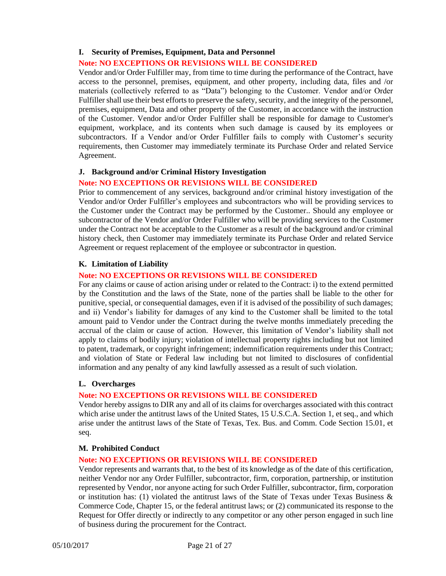#### <span id="page-23-0"></span>**I. Security of Premises, Equipment, Data and Personnel**

#### **Note: NO EXCEPTIONS OR REVISIONS WILL BE CONSIDERED**

Vendor and/or Order Fulfiller may, from time to time during the performance of the Contract, have access to the personnel, premises, equipment, and other property, including data, files and /or materials (collectively referred to as "Data") belonging to the Customer. Vendor and/or Order Fulfiller shall use their best efforts to preserve the safety, security, and the integrity of the personnel, premises, equipment, Data and other property of the Customer, in accordance with the instruction of the Customer. Vendor and/or Order Fulfiller shall be responsible for damage to Customer's equipment, workplace, and its contents when such damage is caused by its employees or subcontractors. If a Vendor and/or Order Fulfiller fails to comply with Customer's security requirements, then Customer may immediately terminate its Purchase Order and related Service Agreement.

#### <span id="page-23-1"></span>**J. Background and/or Criminal History Investigation**

#### **Note: NO EXCEPTIONS OR REVISIONS WILL BE CONSIDERED**

Prior to commencement of any services, background and/or criminal history investigation of the Vendor and/or Order Fulfiller's employees and subcontractors who will be providing services to the Customer under the Contract may be performed by the Customer.. Should any employee or subcontractor of the Vendor and/or Order Fulfiller who will be providing services to the Customer under the Contract not be acceptable to the Customer as a result of the background and/or criminal history check, then Customer may immediately terminate its Purchase Order and related Service Agreement or request replacement of the employee or subcontractor in question.

#### <span id="page-23-2"></span>**K. Limitation of Liability**

#### **Note: NO EXCEPTIONS OR REVISIONS WILL BE CONSIDERED**

For any claims or cause of action arising under or related to the Contract: i) to the extend permitted by the Constitution and the laws of the State, none of the parties shall be liable to the other for punitive, special, or consequential damages, even if it is advised of the possibility of such damages; and ii) Vendor's liability for damages of any kind to the Customer shall be limited to the total amount paid to Vendor under the Contract during the twelve months immediately preceding the accrual of the claim or cause of action. However, this limitation of Vendor's liability shall not apply to claims of bodily injury; violation of intellectual property rights including but not limited to patent, trademark, or copyright infringement; indemnification requirements under this Contract; and violation of State or Federal law including but not limited to disclosures of confidential information and any penalty of any kind lawfully assessed as a result of such violation.

#### <span id="page-23-3"></span>**L. Overcharges**

#### **Note: NO EXCEPTIONS OR REVISIONS WILL BE CONSIDERED**

Vendor hereby assigns to DIR any and all of its claims for overcharges associated with this contract which arise under the antitrust laws of the United States, 15 U.S.C.A. Section 1, et seq., and which arise under the antitrust laws of the State of Texas, Tex. Bus. and Comm. Code Section 15.01, et seq.

#### <span id="page-23-4"></span>**M. Prohibited Conduct**

#### **Note: NO EXCEPTIONS OR REVISIONS WILL BE CONSIDERED**

Vendor represents and warrants that, to the best of its knowledge as of the date of this certification, neither Vendor nor any Order Fulfiller, subcontractor, firm, corporation, partnership, or institution represented by Vendor, nor anyone acting for such Order Fulfiller, subcontractor, firm, corporation or institution has: (1) violated the antitrust laws of the State of Texas under Texas Business  $\&$ Commerce Code, Chapter 15, or the federal antitrust laws; or (2) communicated its response to the Request for Offer directly or indirectly to any competitor or any other person engaged in such line of business during the procurement for the Contract.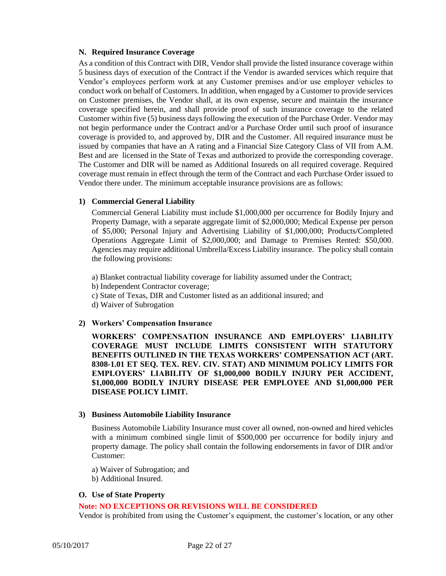#### <span id="page-24-0"></span>**N. Required Insurance Coverage**

As a condition of this Contract with DIR, Vendor shall provide the listed insurance coverage within 5 business days of execution of the Contract if the Vendor is awarded services which require that Vendor's employees perform work at any Customer premises and/or use employer vehicles to conduct work on behalf of Customers. In addition, when engaged by a Customer to provide services on Customer premises, the Vendor shall, at its own expense, secure and maintain the insurance coverage specified herein, and shall provide proof of such insurance coverage to the related Customer within five (5) business days following the execution of the Purchase Order. Vendor may not begin performance under the Contract and/or a Purchase Order until such proof of insurance coverage is provided to, and approved by, DIR and the Customer. All required insurance must be issued by companies that have an A rating and a Financial Size Category Class of VII from A.M. Best and are licensed in the State of Texas and authorized to provide the corresponding coverage. The Customer and DIR will be named as Additional Insureds on all required coverage. Required coverage must remain in effect through the term of the Contract and each Purchase Order issued to Vendor there under. The minimum acceptable insurance provisions are as follows:

#### **1) Commercial General Liability**

Commercial General Liability must include \$1,000,000 per occurrence for Bodily Injury and Property Damage, with a separate aggregate limit of \$2,000,000; Medical Expense per person of \$5,000; Personal Injury and Advertising Liability of \$1,000,000; Products/Completed Operations Aggregate Limit of \$2,000,000; and Damage to Premises Rented: \$50,000. Agencies may require additional Umbrella/Excess Liability insurance. The policy shall contain the following provisions:

- a) Blanket contractual liability coverage for liability assumed under the Contract;
- b) Independent Contractor coverage;
- c) State of Texas, DIR and Customer listed as an additional insured; and
- d) Waiver of Subrogation

#### **2) Workers' Compensation Insurance**

**WORKERS' COMPENSATION INSURANCE AND EMPLOYERS' LIABILITY COVERAGE MUST INCLUDE LIMITS CONSISTENT WITH STATUTORY BENEFITS OUTLINED IN THE TEXAS WORKERS' COMPENSATION ACT (ART. 8308-1.01 ET SEQ. TEX. REV. CIV. STAT) AND MINIMUM POLICY LIMITS FOR EMPLOYERS' LIABILITY OF \$1,000,000 BODILY INJURY PER ACCIDENT, \$1,000,000 BODILY INJURY DISEASE PER EMPLOYEE AND \$1,000,000 PER DISEASE POLICY LIMIT.** 

#### **3) Business Automobile Liability Insurance**

Business Automobile Liability Insurance must cover all owned, non-owned and hired vehicles with a minimum combined single limit of \$500,000 per occurrence for bodily injury and property damage. The policy shall contain the following endorsements in favor of DIR and/or Customer:

- a) Waiver of Subrogation; and
- b) Additional Insured.

#### <span id="page-24-1"></span>**O. Use of State Property**

#### **Note: NO EXCEPTIONS OR REVISIONS WILL BE CONSIDERED**

Vendor is prohibited from using the Customer's equipment, the customer's location, or any other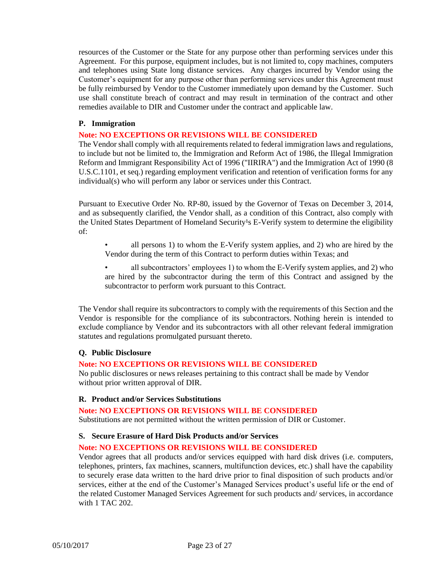resources of the Customer or the State for any purpose other than performing services under this Agreement. For this purpose, equipment includes, but is not limited to, copy machines, computers and telephones using State long distance services. Any charges incurred by Vendor using the Customer's equipment for any purpose other than performing services under this Agreement must be fully reimbursed by Vendor to the Customer immediately upon demand by the Customer. Such use shall constitute breach of contract and may result in termination of the contract and other remedies available to DIR and Customer under the contract and applicable law.

#### <span id="page-25-0"></span>**P. Immigration**

#### **Note: NO EXCEPTIONS OR REVISIONS WILL BE CONSIDERED**

The Vendor shall comply with all requirements related to federal immigration laws and regulations, to include but not be limited to, the Immigration and Reform Act of 1986, the Illegal Immigration Reform and Immigrant Responsibility Act of 1996 ("IIRIRA") and the Immigration Act of 1990 (8 U.S.C.1101, et seq.) regarding employment verification and retention of verification forms for any individual(s) who will perform any labor or services under this Contract.

Pursuant to Executive Order No. RP-80, issued by the Governor of Texas on December 3, 2014, and as subsequently clarified, the Vendor shall, as a condition of this Contract, also comply with the United States Department of Homeland Security<sup>1</sup>s E-Verify system to determine the eligibility of:

- all persons 1) to whom the E-Verify system applies, and 2) who are hired by the Vendor during the term of this Contract to perform duties within Texas; and
- all subcontractors' employees 1) to whom the E-Verify system applies, and 2) who are hired by the subcontractor during the term of this Contract and assigned by the subcontractor to perform work pursuant to this Contract.

The Vendor shall require its subcontractors to comply with the requirements of this Section and the Vendor is responsible for the compliance of its subcontractors. Nothing herein is intended to exclude compliance by Vendor and its subcontractors with all other relevant federal immigration statutes and regulations promulgated pursuant thereto.

#### <span id="page-25-1"></span>**Q. Public Disclosure**

#### **Note: NO EXCEPTIONS OR REVISIONS WILL BE CONSIDERED**

No public disclosures or news releases pertaining to this contract shall be made by Vendor without prior written approval of DIR.

#### <span id="page-25-2"></span>**R. Product and/or Services Substitutions**

### **Note: NO EXCEPTIONS OR REVISIONS WILL BE CONSIDERED**

Substitutions are not permitted without the written permission of DIR or Customer.

#### <span id="page-25-3"></span>**S. Secure Erasure of Hard Disk Products and/or Services**

#### **Note: NO EXCEPTIONS OR REVISIONS WILL BE CONSIDERED**

Vendor agrees that all products and/or services equipped with hard disk drives (i.e. computers, telephones, printers, fax machines, scanners, multifunction devices, etc.) shall have the capability to securely erase data written to the hard drive prior to final disposition of such products and/or services, either at the end of the Customer's Managed Services product's useful life or the end of the related Customer Managed Services Agreement for such products and/ services, in accordance with 1 TAC 202.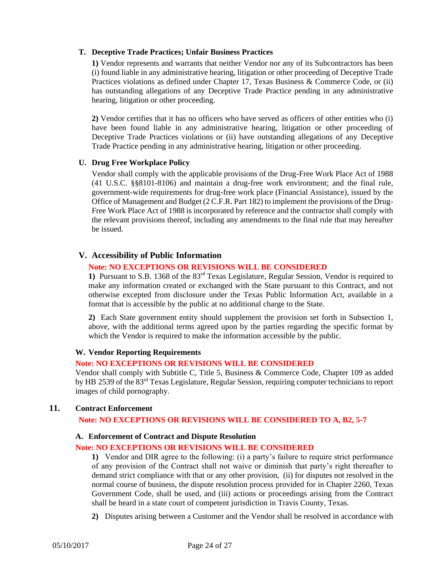#### <span id="page-26-0"></span>**T. Deceptive Trade Practices; Unfair Business Practices**

**1)** Vendor represents and warrants that neither Vendor nor any of its Subcontractors has been (i) found liable in any administrative hearing, litigation or other proceeding of Deceptive Trade Practices violations as defined under Chapter 17, Texas Business & Commerce Code, or (ii) has outstanding allegations of any Deceptive Trade Practice pending in any administrative hearing, litigation or other proceeding.

**2)** Vendor certifies that it has no officers who have served as officers of other entities who (i) have been found liable in any administrative hearing, litigation or other proceeding of Deceptive Trade Practices violations or (ii) have outstanding allegations of any Deceptive Trade Practice pending in any administrative hearing, litigation or other proceeding.

#### <span id="page-26-1"></span>**U. Drug Free Workplace Policy**

Vendor shall comply with the applicable provisions of the Drug-Free Work Place Act of 1988 (41 U.S.C. §§8101-8106) and maintain a drug-free work environment; and the final rule, government-wide requirements for drug-free work place (Financial Assistance), issued by the Office of Management and Budget (2 C.F.R. Part 182) to implement the provisions of the Drug-Free Work Place Act of 1988 is incorporated by reference and the contractor shall comply with the relevant provisions thereof, including any amendments to the final rule that may hereafter be issued.

#### <span id="page-26-2"></span>**V. Accessibility of Public Information**

#### **Note: NO EXCEPTIONS OR REVISIONS WILL BE CONSIDERED**

**1)** Pursuant to S.B. 1368 of the 83rd Texas Legislature, Regular Session, Vendor is required to make any information created or exchanged with the State pursuant to this Contract, and not otherwise excepted from disclosure under the Texas Public Information Act, available in a format that is accessible by the public at no additional charge to the State.

**2)** Each State government entity should supplement the provision set forth in Subsection 1, above, with the additional terms agreed upon by the parties regarding the specific format by which the Vendor is required to make the information accessible by the public.

#### <span id="page-26-3"></span>**W. Vendor Reporting Requirements**

#### **Note: NO EXCEPTIONS OR REVISIONS WILL BE CONSIDERED**

Vendor shall comply with Subtitle C, Title 5, Business & Commerce Code, Chapter 109 as added by HB 2539 of the 83<sup>rd</sup> Texas Legislature, Regular Session, requiring computer technicians to report images of child pornography.

#### <span id="page-26-5"></span><span id="page-26-4"></span>**11. Contract Enforcement**

#### **Note: NO EXCEPTIONS OR REVISIONS WILL BE CONSIDERED TO A, B2, 5-7**

#### **A. Enforcement of Contract and Dispute Resolution**

#### **Note: NO EXCEPTIONS OR REVISIONS WILL BE CONSIDERED**

**1)** Vendor and DIR agree to the following: (i) a party's failure to require strict performance of any provision of the Contract shall not waive or diminish that party's right thereafter to demand strict compliance with that or any other provision, (ii) for disputes not resolved in the normal course of business, the dispute resolution process provided for in Chapter 2260, Texas Government Code, shall be used, and (iii) actions or proceedings arising from the Contract shall be heard in a state court of competent jurisdiction in Travis County, Texas.

**2)** Disputes arising between a Customer and the Vendor shall be resolved in accordance with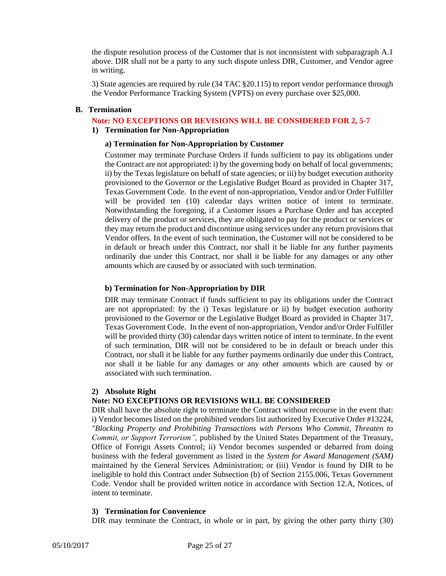the dispute resolution process of the Customer that is not inconsistent with subparagraph A.1 above. DIR shall not be a party to any such dispute unless DIR, Customer, and Vendor agree in writing.

3) State agencies are required by rule (34 TAC §20.115) to report vendor performance through the Vendor Performance Tracking System (VPTS) on every purchase over \$25,000.

#### <span id="page-27-1"></span><span id="page-27-0"></span>**B. Termination**

## **Note: NO EXCEPTIONS OR REVISIONS WILL BE CONSIDERED FOR 2, 5-7**

### **1) Termination for Non-Appropriation**

#### **a) Termination for Non-Appropriation by Customer**

Customer may terminate Purchase Orders if funds sufficient to pay its obligations under the Contract are not appropriated: i) by the governing body on behalf of local governments; ii) by the Texas legislature on behalf of state agencies; or iii) by budget execution authority provisioned to the Governor or the Legislative Budget Board as provided in Chapter 317, Texas Government Code. In the event of non-appropriation, Vendor and/or Order Fulfiller will be provided ten (10) calendar days written notice of intent to terminate. Notwithstanding the foregoing, if a Customer issues a Purchase Order and has accepted delivery of the product or services, they are obligated to pay for the product or services or they may return the product and discontinue using services under any return provisions that Vendor offers. In the event of such termination, the Customer will not be considered to be in default or breach under this Contract, nor shall it be liable for any further payments ordinarily due under this Contract, nor shall it be liable for any damages or any other amounts which are caused by or associated with such termination.

#### **b) Termination for Non-Appropriation by DIR**

DIR may terminate Contract if funds sufficient to pay its obligations under the Contract are not appropriated: by the i) Texas legislature or ii) by budget execution authority provisioned to the Governor or the Legislative Budget Board as provided in Chapter 317, Texas Government Code. In the event of non-appropriation, Vendor and/or Order Fulfiller will be provided thirty (30) calendar days written notice of intent to terminate. In the event of such termination, DIR will not be considered to be in default or breach under this Contract, nor shall it be liable for any further payments ordinarily due under this Contract, nor shall it be liable for any damages or any other amounts which are caused by or associated with such termination.

#### <span id="page-27-2"></span>**2) Absolute Right**

#### **Note: NO EXCEPTIONS OR REVISIONS WILL BE CONSIDERED**

DIR shall have the absolute right to terminate the Contract without recourse in the event that: i) Vendor becomes listed on the prohibited vendors list authorized by Executive Order #13224, *"Blocking Property and Prohibiting Transactions with Persons Who Commit, Threaten to Commit, or Support Terrorism",* published by the United States Department of the Treasury, Office of Foreign Assets Control; ii) Vendor becomes suspended or debarred from doing business with the federal government as listed in the *System for Award Management (SAM)* maintained by the General Services Administration; or (iii) Vendor is found by DIR to be ineligible to hold this Contract under Subsection (b) of Section 2155.006, Texas Government Code. Vendor shall be provided written notice in accordance with Section 12.A, Notices, of intent to terminate.

#### <span id="page-27-3"></span>**3) Termination for Convenience**

DIR may terminate the Contract, in whole or in part, by giving the other party thirty (30)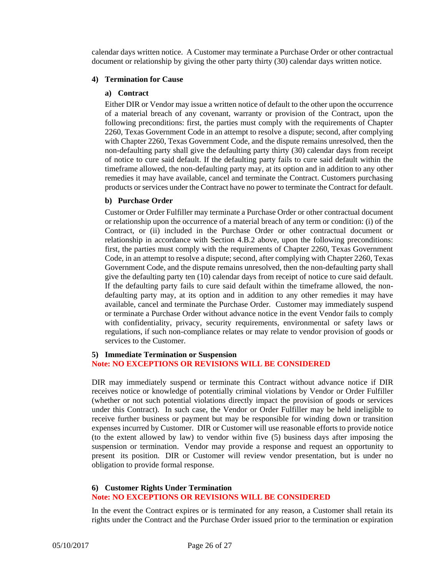calendar days written notice. A Customer may terminate a Purchase Order or other contractual document or relationship by giving the other party thirty (30) calendar days written notice.

#### <span id="page-28-0"></span>**4) Termination for Cause**

#### **a) Contract**

Either DIR or Vendor may issue a written notice of default to the other upon the occurrence of a material breach of any covenant, warranty or provision of the Contract, upon the following preconditions: first, the parties must comply with the requirements of Chapter 2260, Texas Government Code in an attempt to resolve a dispute; second, after complying with Chapter 2260, Texas Government Code, and the dispute remains unresolved, then the non-defaulting party shall give the defaulting party thirty (30) calendar days from receipt of notice to cure said default. If the defaulting party fails to cure said default within the timeframe allowed, the non-defaulting party may, at its option and in addition to any other remedies it may have available, cancel and terminate the Contract. Customers purchasing products or services under the Contract have no power to terminate the Contract for default.

#### **b) Purchase Order**

Customer or Order Fulfiller may terminate a Purchase Order or other contractual document or relationship upon the occurrence of a material breach of any term or condition: (i) of the Contract, or (ii) included in the Purchase Order or other contractual document or relationship in accordance with Section 4.B.2 above, upon the following preconditions: first, the parties must comply with the requirements of Chapter 2260, Texas Government Code, in an attempt to resolve a dispute; second, after complying with Chapter 2260, Texas Government Code, and the dispute remains unresolved, then the non-defaulting party shall give the defaulting party ten (10) calendar days from receipt of notice to cure said default. If the defaulting party fails to cure said default within the timeframe allowed, the nondefaulting party may, at its option and in addition to any other remedies it may have available, cancel and terminate the Purchase Order. Customer may immediately suspend or terminate a Purchase Order without advance notice in the event Vendor fails to comply with confidentiality, privacy, security requirements, environmental or safety laws or regulations, if such non-compliance relates or may relate to vendor provision of goods or services to the Customer.

#### <span id="page-28-1"></span>**5) Immediate Termination or Suspension Note: NO EXCEPTIONS OR REVISIONS WILL BE CONSIDERED**

DIR may immediately suspend or terminate this Contract without advance notice if DIR receives notice or knowledge of potentially criminal violations by Vendor or Order Fulfiller (whether or not such potential violations directly impact the provision of goods or services under this Contract). In such case, the Vendor or Order Fulfiller may be held ineligible to receive further business or payment but may be responsible for winding down or transition expenses incurred by Customer. DIR or Customer will use reasonable efforts to provide notice (to the extent allowed by law) to vendor within five (5) business days after imposing the suspension or termination. Vendor may provide a response and request an opportunity to present its position. DIR or Customer will review vendor presentation, but is under no obligation to provide formal response.

#### <span id="page-28-2"></span>**6) Customer Rights Under Termination Note: NO EXCEPTIONS OR REVISIONS WILL BE CONSIDERED**

In the event the Contract expires or is terminated for any reason, a Customer shall retain its rights under the Contract and the Purchase Order issued prior to the termination or expiration